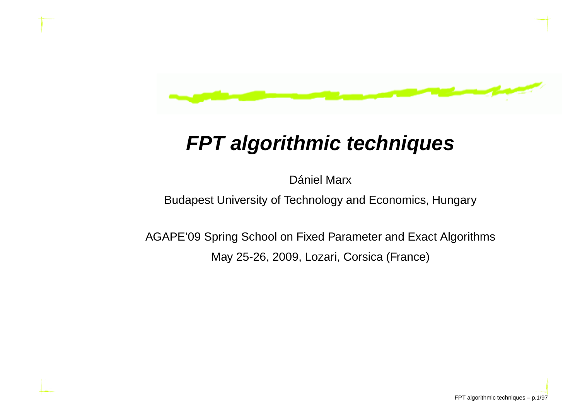

## **FPT algorithmic techniques**

Dániel Marx

Budapest University of Technology and Economics, Hungary

AGAPE'09 Spring School on Fixed Parameter and Exact AlgorithmsMay 25-26, 2009, Lozari, Corsica (France)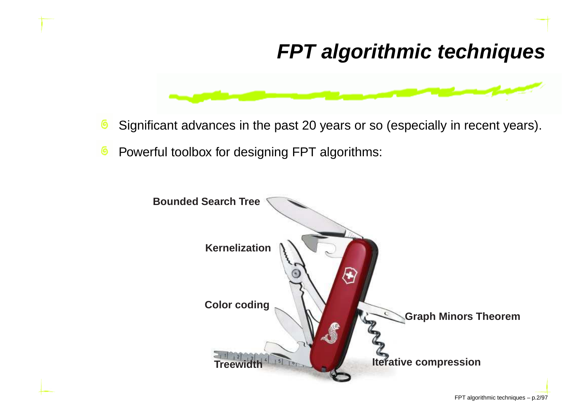## **FPT algorithmic techniques**



- ෧ Significant advances in the past 20 years or so (especially in recent years).
- Powerful toolbox for designing FPT algorithms: ෧

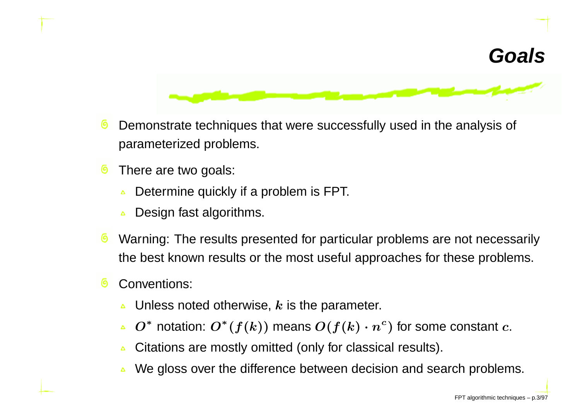#### **Goals**



- ෧ Demonstrate techniques that were successfully used in the analysis of parameterized problems.
- There are two goals: 0
	- Determine quickly if <sup>a</sup> problem is FPT.
	- Design fast algorithms.  $\Delta$
- Warning: The results presented for particular problems are not necessarily the best known results or the most useful approaches for these problems.
- Conventions:෧
	- Unless noted otherwise,  $\boldsymbol{k}$  is the parameter.  $\Delta$
	- $O^*$  notation:  $O^*$  $^*(f(k))$  means  $O(f(k)\cdot n^c)$  $\degree$ ) for some constant  $c.$ Δ
	- Citations are mostly omitted (only for classical results).
	- We gloss over the difference between decision and search problems.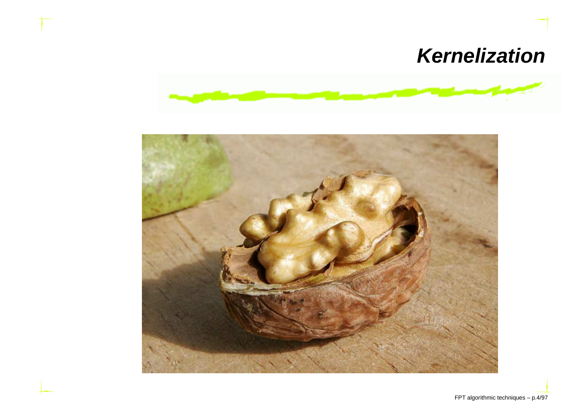## **Kernelization**



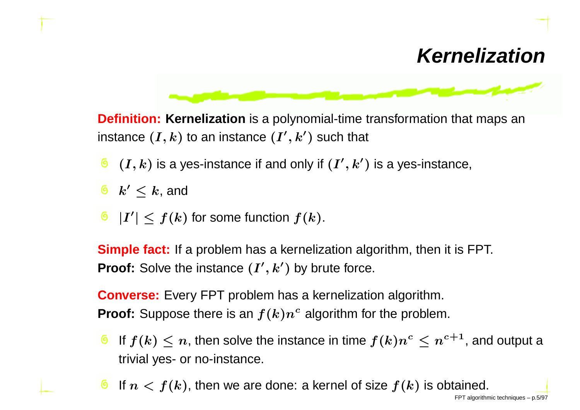#### **Kernelization**



**Definition: Kernelization** is <sup>a</sup> polynomial-time transformation that maps an instance  $(I,k)$  to an instance  $(I',k')$  such that

- $(I,k)$  is a yes-instance if and only if  $(I^{\prime},k^{\prime})$  is a yes-instance,
- $k'\leq k$ , and
- $|I'| \leq f(k)$  for some function  $f(k)$ .

**Simple fact:** If <sup>a</sup> problem has <sup>a</sup> kernelization algorithm, then it is FPT. **Proof:** Solve the instance  $(I', k')$  by brute force.

**Converse:** Every FPT problem has <sup>a</sup> kernelization algorithm. **Proof:** Suppose there is an  $f(k)n^c$  algorithm for the problem.

- If  $f(k) \leq n$ , then solve the instance in time  $f(k)n^{c} \leq n^{c+1}$ , and output a trivial yes- or no-instance.
- If  $n < f(k)$ , then we are done: a kernel of size  $f(k)$  is obtained.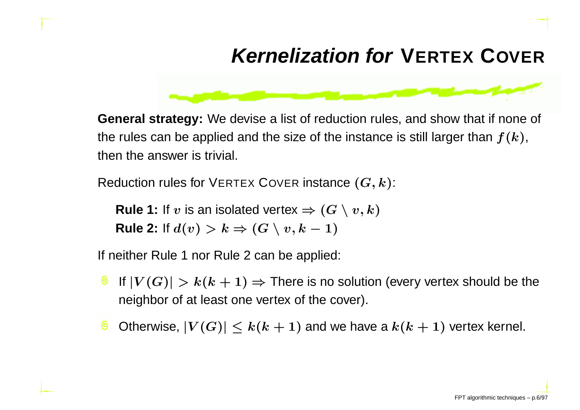## **Kernelization forVERTEXCOVER**

**General strategy:** We devise <sup>a</sup> list of reduction rules, and show that if none of the rules can be applied and the size of the instance is still larger than  $f(k),$ then the answer is trivial.

Reduction rules for VERTEX COVER instance  $(G, k)$ :

**Rule 1:** If  $v$  is an isolated vertex  $\Rightarrow$   $(G \setminus v, k)$  $\textsf{Rule 2: If } d(v) > k \Rightarrow (G \setminus v, k-1)$  $-1)$ 

If neither Rule <sup>1</sup> nor Rule <sup>2</sup> can be applied:

- If  $|V(G)| > k(k+1) \Rightarrow$  There is no solution (every vertex should be the neighbor of at least one vertex of the cover) neighbor of at least one vertex of the cover).
- Otherwise,  $|V(G)|\leq k(k+1)$  and we have a  $k(k+1)$  vertex kernel.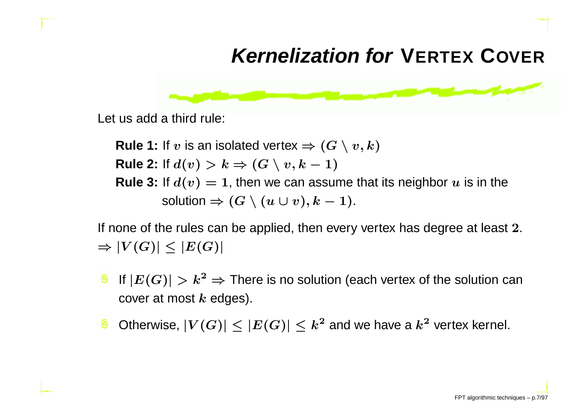## **Kernelization forVERTEXCOVER**



Let us add <sup>a</sup> third rule:

**Rule 1:** If  $v$  is an isolated vertex  $\Rightarrow$   $(G \setminus v, k)$  $\textsf{Rule 2: If } d(v) > k \Rightarrow (G \setminus v, k-1)$ **Rule 3:** If  $d(v) = 1$ , then we can assume that its neighbor  $u$  is in the  $-1)$ solution  $\Rightarrow(G\setminus(u\cup v), k)$  $-1).$ 

If none of the rules can be applied, then every vertex has degree at least  $\mathbf 2.$  $\Rightarrow |V(G)| \leq |E(G)|$ 

- If  $\left|E(G)\right| > k^2$ cover at most  $k$  edges).  $^2$  ⇒ There is no solution (each vertex of the solution can<br>k edges)
- Otherwise,  $|V(G)|\leq |E(G)|\leq k^2$  and we have a  $k^2$  vertex kernel.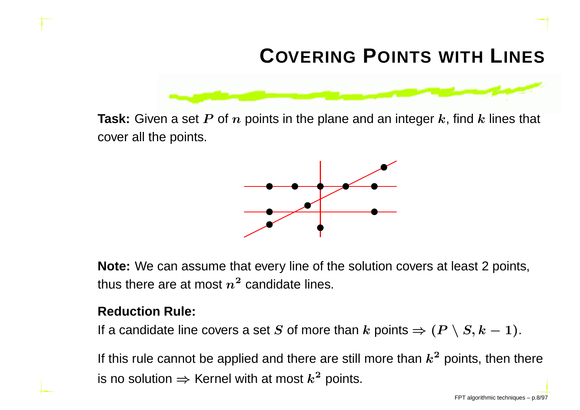# **COVERING <sup>P</sup>OINTS WITH <sup>L</sup>INES**



**Task:** Given a set  $P$  of  $n$  points in the plane and an integer  $k$ , find  $k$  lines that cover all the points.



**Note:** We can assume that every line of the solution covers at least <sup>2</sup> points, thus there are at most  $n^2$  candidate lines.

#### **Reduction Rule:**

If a candidate line covers a set  $S$  of more than  $k$  points  $\Rightarrow$   $(P \setminus S, k-1)$ .

If this rule cannot be applied and there are still more than  $k^2$  points, then there is no solution  $\Rightarrow$  Kernel with at most  $k^2$  points.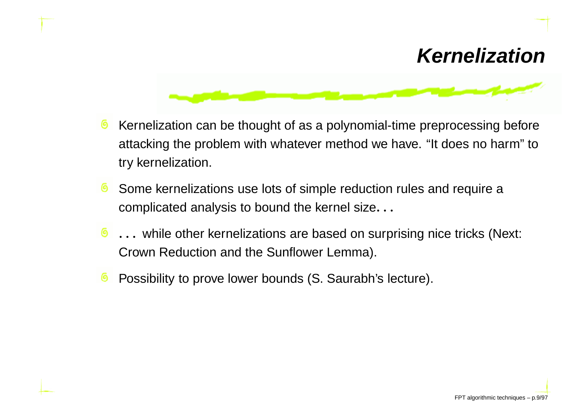#### **Kernelization**



- Kernelization can be thought of as <sup>a</sup> polynomial-time preprocessing before෧ attacking the problem with whatever method we have. "It does no harm" totry kernelization.
- Some kernelizations use lots of simple reduction rules and require <sup>a</sup>෧ complicated analysis to bound the kernel size. . .
- ෧ . . . while other kernelizations are based on surprising nice tricks (Next: Crown Reduction and the Sunflower Lemma).
- Possibility to prove lower bounds (S. Saurabh's lecture). ෧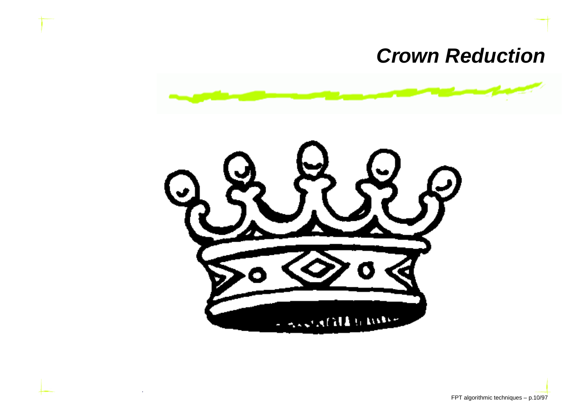#### **Crown Reduction**



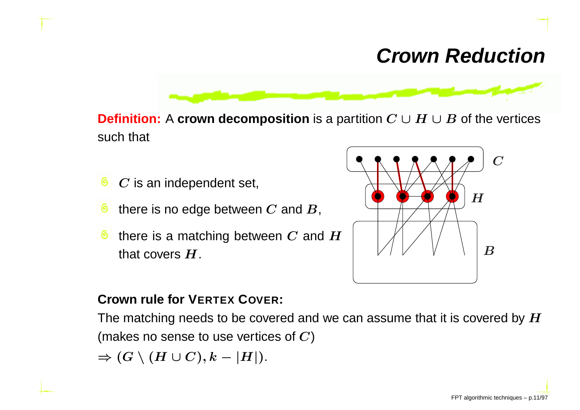#### **Crown Reduction**



**Definition:**A **crown decomposition** is <sup>a</sup> partition C∪H∪B of the vertices such that

- ෧  $\boldsymbol{C}$  is an independent set,
- ෧ there is no edge between  $\boldsymbol{C}$  and  $\boldsymbol{B},$
- ෧ there is a matching between  $C$  and  $H$ that covers  $H.$



#### **Crown rule for VERTEXCOVER:**

The matching needs to be covered and we can assume that it is covered by  $\boldsymbol{H}$ (makes no sense to use vertices of  $\boldsymbol{C})$ 

$$
\Rightarrow (G \setminus (H \cup C), k - |H|).
$$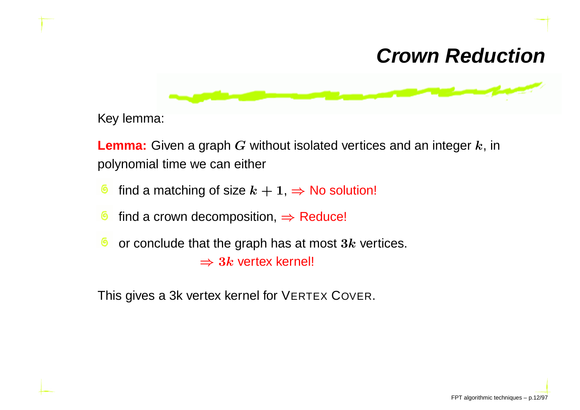#### **Crown Reduction**



Key lemma:

**Lemma:** Given a graph  $G$  without isolated vertices and an integer  $k$ , in polynomial time we can either

- ෧ find a matching of size  $k + 1$ ,  $\Rightarrow$  No solution!
- G find a crown decomposition, ⇒ Reduce!
- ෧ or conclude that the graph has at most  $3k$  vertices.  $\Rightarrow 3k$  vertex kernel!

This gives a 3k vertex kernel for VERTEX COVER.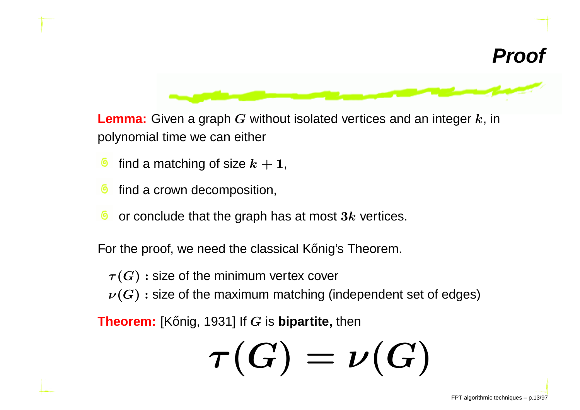



**Lemma:** Given a graph *G* without isolated vertices and an integer *k*, in polynomial time we can either

- find a matching of size  $k+1$ , ౷
- find <sup>a</sup> crown decomposition, ෧
- ෧ or conclude that the graph has at most  $3k$  vertices.

For the proof, we need the classical Konig's Theorem.

 $\tau(G)$  : size of the minimum vertex cover

 $\nu(G)$ : size of the maximum matching (independent set of edges)

**Theorem:** [Kőnig, 1931] If  $G$  is **bipartite,** then

$$
\tau(G)=\nu(G)
$$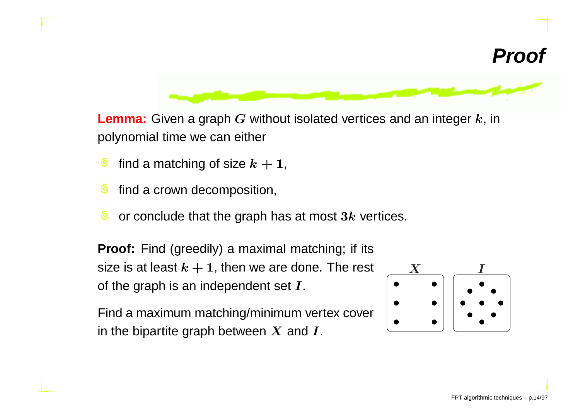



**Lemma:** Given a graph *G* without isolated vertices and an integer *k*, in polynomial time we can either

- find a matching of size  $k+1$ , ౷
- find <sup>a</sup> crown decomposition, ෧
- or conclude that the graph has at most  $3k$  vertices.

**Proof:** Find (greedily) <sup>a</sup> maximal matching; if itssize is at least  $k+1$ , then we are done. The rest of the graph is an independent set  $I$ .

Find <sup>a</sup> maximum matching/minimum vertex coverin the bipartite graph between  $\boldsymbol{X}$  and  $\boldsymbol{I}.$ 

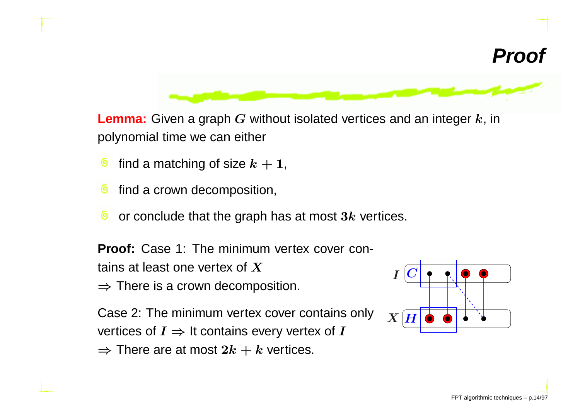



**Lemma:** Given a graph *G* without isolated vertices and an integer *k*, in polynomial time we can either

- find a matching of size  $k+1$ , ౷
- find <sup>a</sup> crown decomposition, ෧
- or conclude that the graph has at most  $3k$  vertices.

**Proof:** Case 1: The minimum vertex cover contains at least one vertex of <sup>X</sup> $\Rightarrow$  There is a crown decomposition.

Case 2: The minimum vertex cover contains onlyvertices of  $I \Rightarrow$  It contains every vertex of  $I \Rightarrow$  There are at most  $2h + h$  vertices.  $\Rightarrow$  There are at most  $2k+k$  vertices.

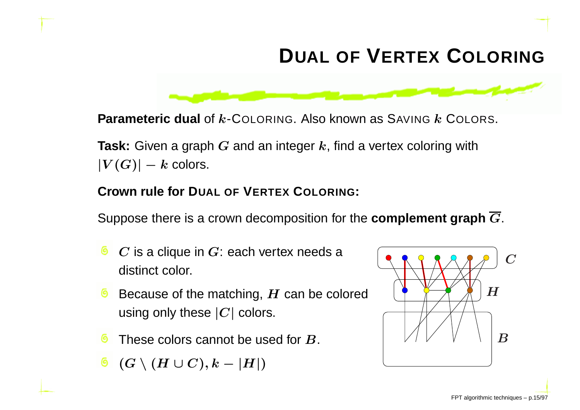## **DUAL OF <sup>V</sup>ERTEX <sup>C</sup>OLORING**



**Task:** Given a graph *G* and an integer *k*, find a vertex coloring with<br>ITCCN  $|V(G)|-k$  colors.

#### **Crown rule for DUAL OF <sup>V</sup>ERTEX <sup>C</sup>OLORING:**

Suppose there is <sup>a</sup> crown decomposition for the **complement graph** <sup>G</sup>.

- $C$  is a clique in  $G$ : each vertex needs a distinct color.
- Because of the matching,  $H$  can be colored<br>weight and these LGL select using only these  $\left|C\right|$  colors.
- These colors cannot be used for  $\bm{B}.$
- $(G \setminus (H \cup C), k |H|)$

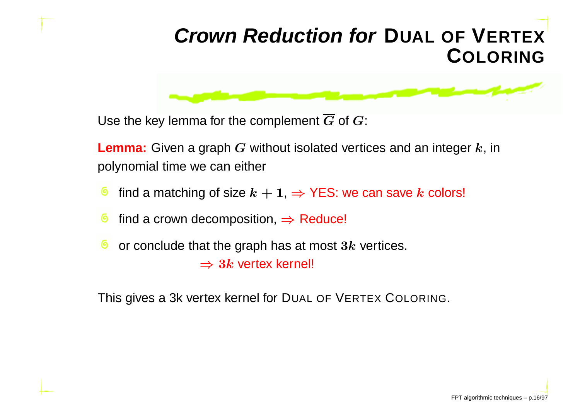#### **Crown Reduction forDUAL OFVERTEX**———————————— **COLORING**

Use the key lemma for the complement  $\boldsymbol{G}$  of  $\boldsymbol{G}$ :

**Lemma:** Given a graph  $G$  without isolated vertices and an integer  $k$ , in polynomial time we can either

- find a matching of size  $k+1, \Rightarrow$  YES: we can save  $k$  colors!
- find a crown decomposition, ⇒ Reduce!
- ෧ or conclude that the graph has at most  $3k$  vertices.  $\Rightarrow 3k$  vertex kernel!

This gives a 3k vertex kernel for DuaL OF VERTEX COLORING.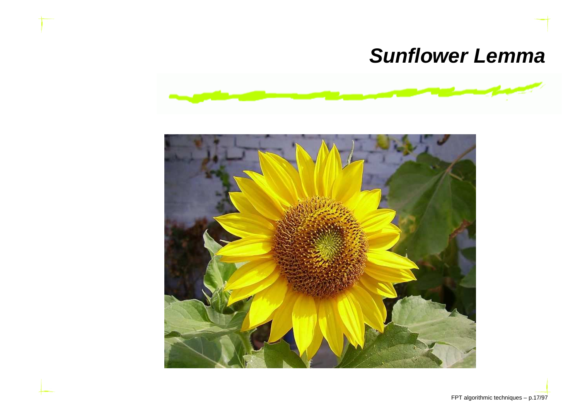#### **Sunflower Lemma**



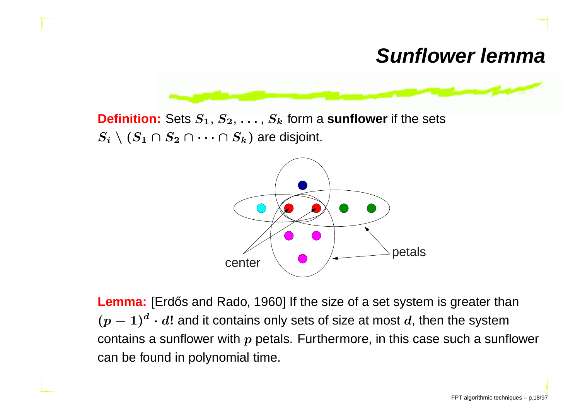#### **Sunflower lemma**



**Definition:** Sets  $S_1, S_2, \ldots, S_k$  form a **sunflower** if the sets  $S_i\setminus (S_1\cap S_2\cap \cdots \cap S_k)$  are disjoint.



**Lemma:** [Erdős and Rado, 1960] If the size of a set system is greater than  $(p-\,$  $(-1)^d$  $\ ^{a}\cdot d!$  and it contains only sets of size at most  $d$ , then the system contains a sunflower with  $\boldsymbol{p}$  petals. Furthermore, in this case such a sunflower can be found in polynomial time.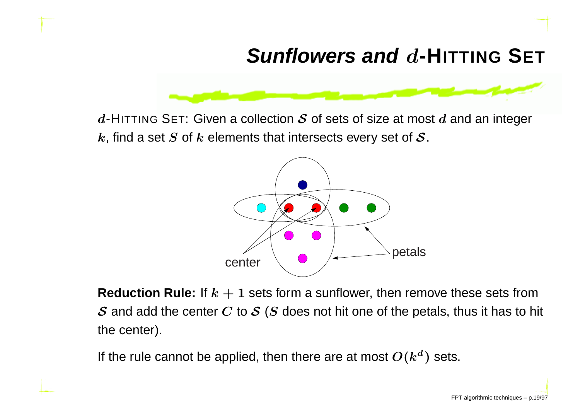# **Sunflowers and** <sup>d</sup>**-HITTING <sup>S</sup>ET**



 $d$ -HITTING SET: Given a collection  $\mathcal S$  of sets of size at most  $d$  and an integer  $k$ , find a set  $S$  of  $k$  elements that intersects every set of  $\cal S.$ 



**Reduction Rule:** If  $k + 1$  sets form a sunflower, then remove these sets from  $\cal S$  and add the center  $C$  to  $\cal S$  ( $S$  does not hit one of the petals, thus it has to hit the center).

If the rule cannot be applied, then there are at most  $O(k^d)$  sets.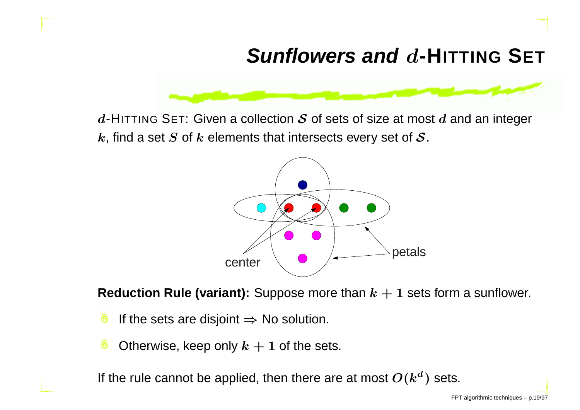# **Sunflowers and** <sup>d</sup>**-HITTING <sup>S</sup>ET**



 $d$ -HITTING SET: Given a collection  $\mathcal S$  of sets of size at most  $d$  and an integer  $k$ , find a set  $S$  of  $k$  elements that intersects every set of  $\cal S.$ 



 $\textbf{Reduction Rule (variant):}$  Suppose more than  $k+1$  sets form a sunflower.

- If the sets are disjoint  $\Rightarrow$  No solution. Θ
- Otherwise, keep only  $k+1$  of the sets.

If the rule cannot be applied, then there are at most  $O(k^d)$  sets.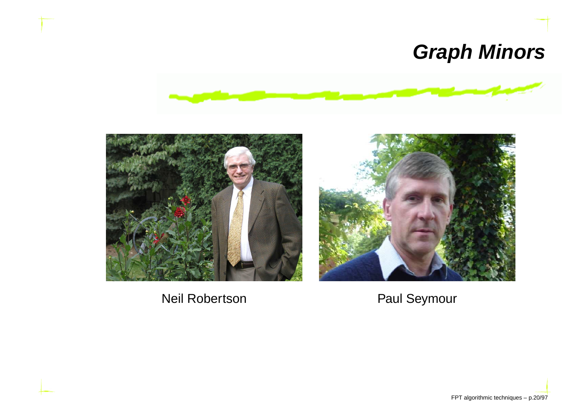## **Graph Minors**





Neil Robertson **Paul Seymour** 

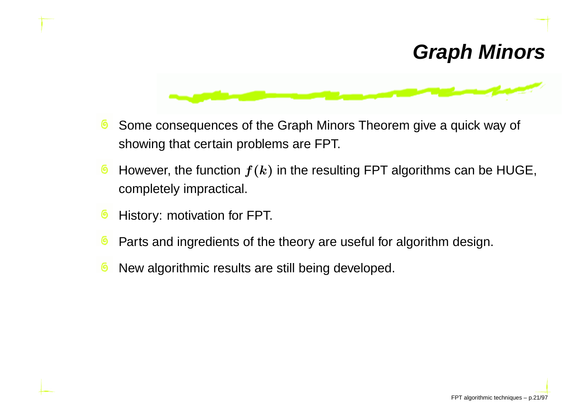#### **Graph Minors**



- Some consequences of the Graph Minors Theorem give <sup>a</sup> quick way of ෧ showing that certain problems are FPT.
- ౷ However, the function  $f(k)$  in the resulting FPT algorithms can be HUGE, completely impractical.
- History: motivation for FPT.
- Parts and ingredients of the theory are useful for algorithm design. (ඉ
- New algorithmic results are still being developed.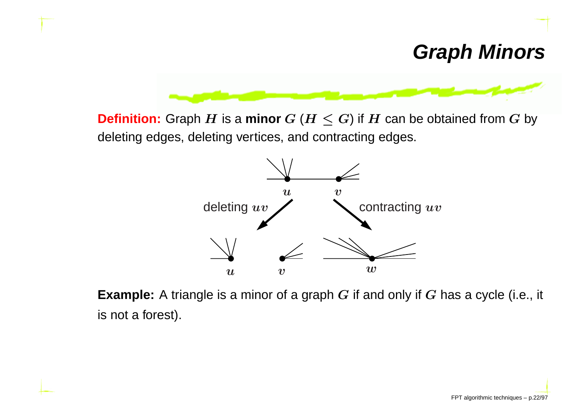

**Definition:** Graph  $H$  is a **minor**  $G$  ( $H \leq G$ ) if  $H$  can be obtained from  $G$  by deleting edges, deleting vertices, and contracting edges.



**Example:** <sup>A</sup> triangle is <sup>a</sup> minor of <sup>a</sup> graph <sup>G</sup> if and only if <sup>G</sup> has <sup>a</sup> cycle (i.e., it is not <sup>a</sup> forest).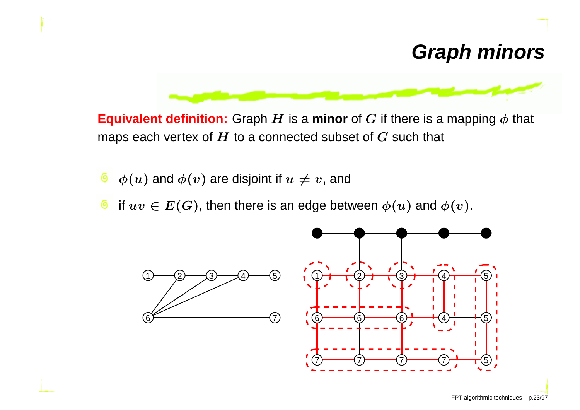#### **Graph minors**



**Equivalent definition:** Graph  $H$  is a **minor** of  $G$  if there is a mapping  $\phi$  that maps each vertex of  $H$  to a connected subset of  $G$  such that

- ෧  $\phi(u)$  and  $\phi(v)$  are disjoint if  $u\neq v$ , and
- ෧ if  $uv \in E(G)$ , then there is an edge between  $\phi(u)$  and  $\phi(v).$

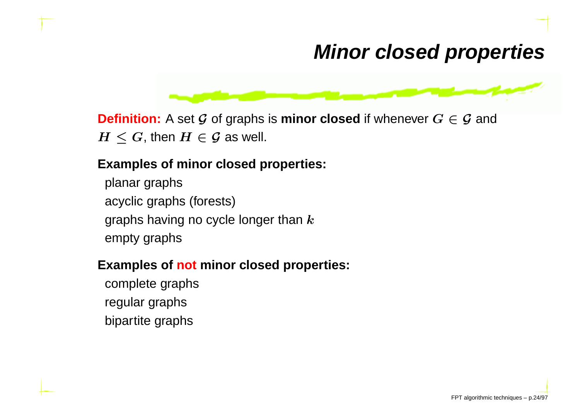#### **Minor closed properties**



**Definition:** <sup>A</sup> set G of graphs is **minor closed** if whenever G <sup>∈</sup> <sup>G</sup> and  $H\leq G,$  then  $H\in\mathcal{G}$  as well.

#### **Examples of minor closed properties:**

planar graphsacyclic graphs (forests)graphs having no cycle longer than  $\bm{k}$ empty graphs

#### **Examples of not minor closed properties:**

complete graphsregular graphsbipartite graphs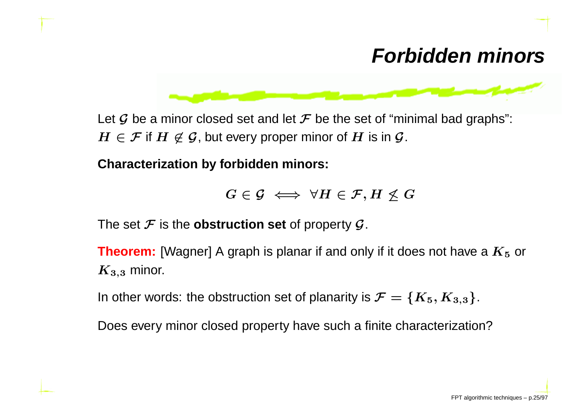#### **Forbidden minors**



Let  $\cal G$  be a minor closed set and let  $\cal F$  be the set of "minimal bad graphs":  $H \in \mathcal{F}$  if  $H \not\in \mathcal{G}$ , but every proper minor of  $H$  is in  $\mathcal{G}$ .

**Characterization by forbidden minors:**

$$
G\in\mathcal{G}\iff\forall H\in\mathcal{F},H\not\leq G
$$

The set  $\mathcal F$  is the **obstruction set** of property  $\mathcal G$ .

**Theorem:** [Wagner] A graph is planar if and only if it does not have a  $K_5$  or  $K_{3,3}$  minor.

In other words: the obstruction set of planarity is  $\mathcal{F}=\{K_{5}, K_{3,3}\}.$ 

Does every minor closed property have such <sup>a</sup> finite characterization?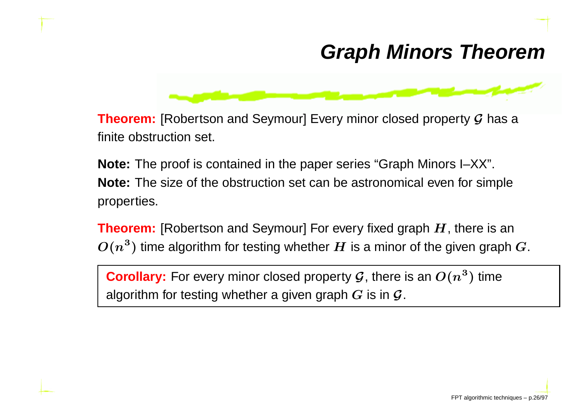#### **Graph Minors Theorem**



**Theorem:** [Robertson and Seymour] Every minor closed property  $\mathcal G$  has a finite obstruction set.

**Note:** The proof is contained in the paper series "Graph Minors I–XX". **Note:** The size of the obstruction set can be astronomical even for simpleproperties.

**Theorem:** [Robertson and Seymour] For every fixed graph  $H$ , there is an  $O(n^3)$  time algorithm for testing whether  $H$  is a minor of the given graph  $^3$ ) time algorithm for testing whether  $H$  is a minor of the given graph  $G$ .

**Corollary:** For every minor closed property  $\mathcal G$ , there is an  $O(n^3)$  $^3)$  time algorithm for testing whether a given graph  $G$  is in  $\mathcal G$ .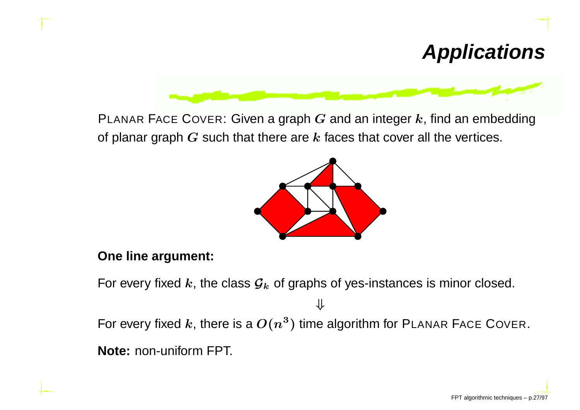# **Applications**

PLANAR FACE COVER: Given a graph  $G$  and an integer  $k$ , find an embedding of planar graph  $G$  such that there are  $k$  faces that cover all the vertices.



#### **One line argument:**

For every fixed  $k$ , the class  ${\cal G}_k$  of graphs of yes-instances is minor closed.

For every fixed  $k$ , there is a  $O(n^3)$  time algorithm for <code>PLANAR</code> FACE COVER.

⇓

**Note:** non-uniform FPT.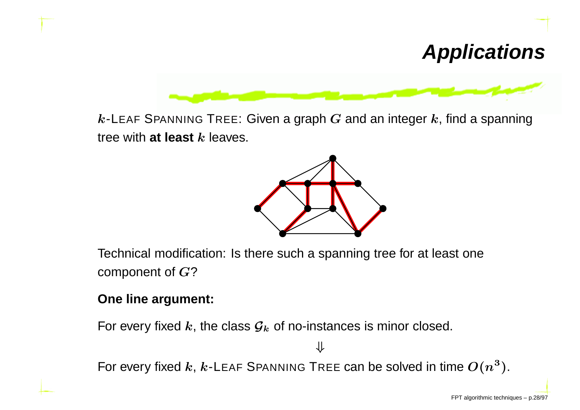## **Applications**



 $k$ -L<code>EAF</code> S<code>PANNING</code> T<code>REE: Given a graph  $G$  and an integer  $k$ , find a spanning</code> tree with  $\mathsf{at}$  **least**  $k$  leaves.



Technical modification: Is there such <sup>a</sup> spanning tree for at least onecomponent of G?

#### **One line argument:**

For every fixed  $k$ , the class  ${\cal G}_k$  of no-instances is minor closed.

For every fixed  $k$ ,  $k$ -L<code>EAF</code> S<code>PANNING</code> TREE can be solved in time  $O(n^3).$ 

⇓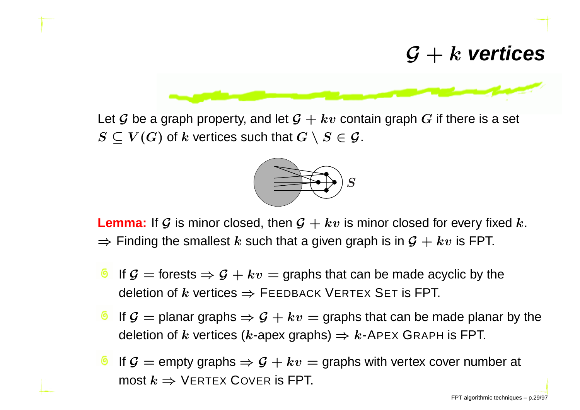# $G + k$  **vertices**



Let  $\mathcal G$  be a graph property, and let  $\mathcal G + kv$  contain graph  $G$  if there is a set  $S \subseteq V(G)$  of  $k$  vertices such that  $G \setminus S \in \mathcal{G}$ .



**Lemma:** If G is minor closed, then  $G + kv$  is minor closed for every fixed k.  $\Rightarrow$  Finding the smallest  $k$  such that a given graph is in  $\mathcal{G}+kv$  is FPT.

- If  $\mathcal{G} =$  forests  $\Rightarrow \mathcal{G} + kv =$  graphs that can be made acyclic by the deletion of  $k$  vertices  $\Rightarrow$  FEEDBACK VERTEX SET is FPT.
- If  $\mathcal{G} =$  planar graphs  $\Rightarrow \mathcal{G} + kv =$  graphs that can be made planar by the deletion of  $k$  vertices ( $k$ -apex graphs)  $\Rightarrow k$ -A<code>PEX</code> G<code>RAPH</code> is FPT.
- If  $\mathcal{G} =$  empty graphs  $\Rightarrow \mathcal{G} + kv =$  graphs with vertex cover number at most  $k \Rightarrow$  VERTEX  $\textsf{Cover}$  is FPT.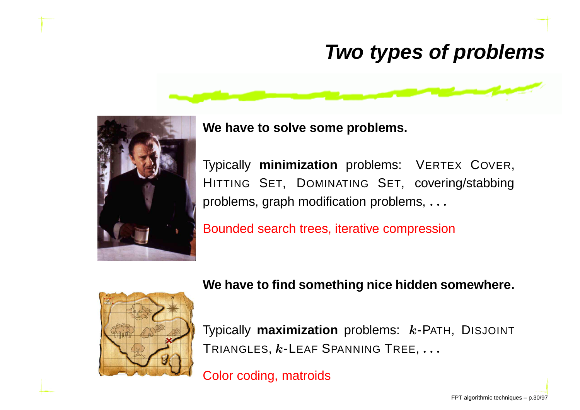## **Two types of problems**





**We have to solve some problems.**

Typically **minimization** problems: <sup>V</sup>ERTEX COVER,HITTING SET, DOMINATING SET, covering/stabbing problems, graph modification problems, . . .

Bounded search trees, iterative compression



#### **We have to find something nice hidden somewhere.**

Typically **maximization** problems: k-PATH, DISJOINTTRIANGLES,  $k$ -LEAF SPANNING TREE,  $\ldots$ 

Color coding, matroids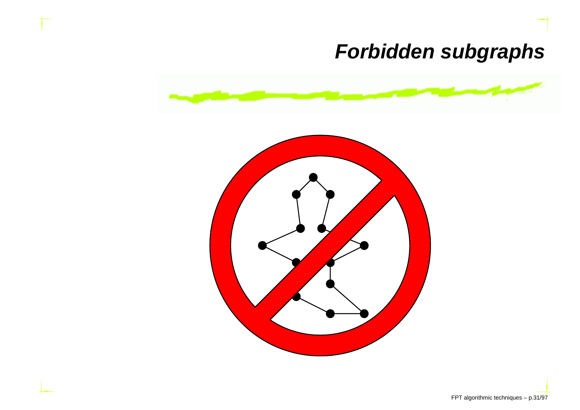## **Forbidden subgraphs**

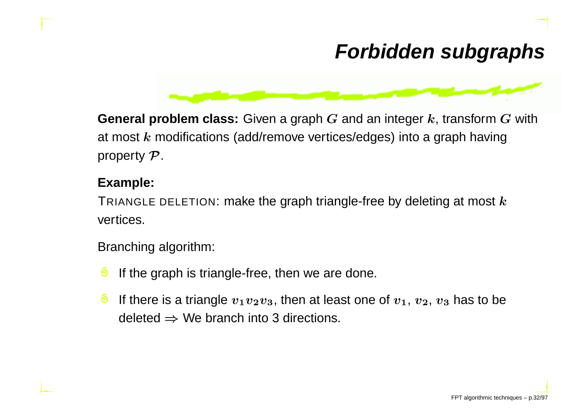## **Forbidden subgraphs**



**General problem class:** Given a graph  $G$  and an integer  $k$ , transform  $G$  with at most  $k$  modifications (add/remove vertices/edges) into a graph having property  ${\cal P}.$ 

#### **Example:**

TRIANGLE DELETION: make the graph triangle-free by deleting at most  $\boldsymbol{k}$ vertices.

Branching algorithm:

- If the graph is triangle-free, then we are done.
- If there is a triangle  $v_1v_2v_3$ , then at least one of  $v_1,\,v_2,\,v_3$  has to be ၜ deleted  $\Rightarrow$  We branch into 3 directions.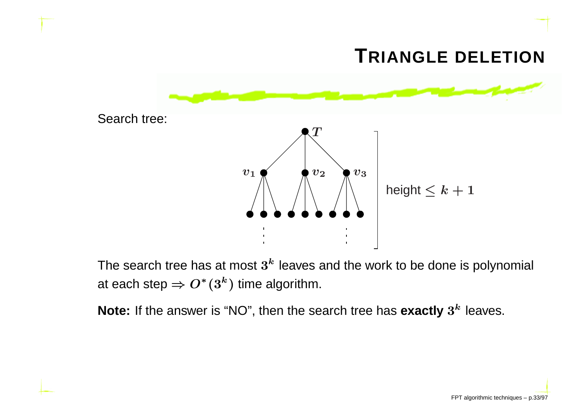

The search tree has at most  $3<sup>k</sup>$  leaves and the work to be done is polynomial at each step  $\Rightarrow O^*(3^k)$  time algorithm.

**Note:** If the answer is "NO", then the search tree has  $\boldsymbol{\mathsf{exactly}}\ 3^k$  leaves.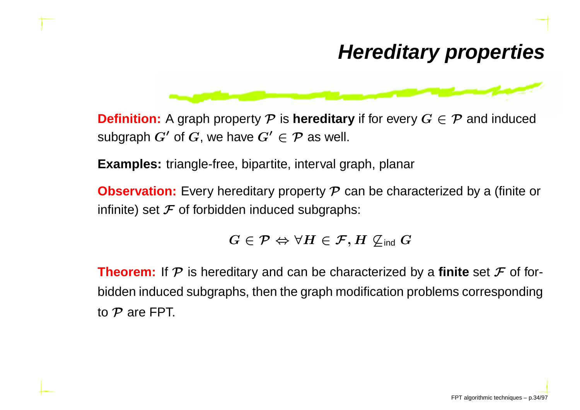#### **Hereditary properties**



**Definition:** A graph property  $\mathcal P$  is **hereditary** if for every  $G \in \mathcal P$  and induced subgraph  $G'$  of  $G,$  we have  $G' \in \mathcal{P}$  as well.

**Examples:** triangle-free, bipartite, interval graph, planar

**Observation:** Every hereditary property  $\mathcal P$  can be characterized by a (finite or infinite) set  ${\mathcal F}$  of forbidden induced subgraphs:

 $G \in \mathcal{P} \Leftrightarrow \forall H \in \mathcal{F}, H \not\subseteq_{\mathsf{ind}} G$ 

**Theorem:** If  $\mathcal P$  is hereditary and can be characterized by a **finite** set  $\mathcal F$  of forbidden induced subgraphs, then the graph modification problems correspondingto  $\cal P$  are FPT.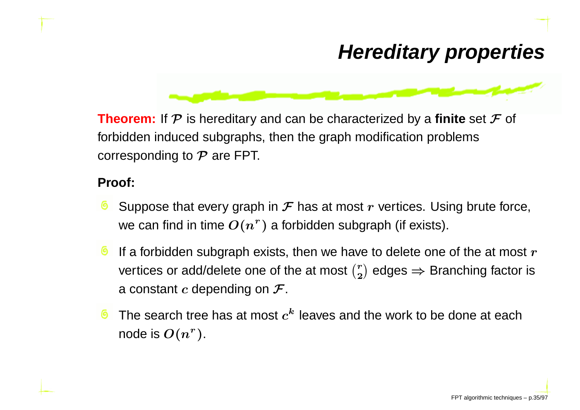### **Hereditary properties**



**Theorem:** If  $\mathcal P$  is hereditary and can be characterized by a **finite** set  $\mathcal F$  of forbidden induced subgraphs, then the graph modification problemscorresponding to  $\cal P$  are FPT.

#### **Proof:**

- Suppose that every graph in  ${\mathcal F}$  has at most  $r$  vertices. Using brute force, we can find in time  $O(n^r)$  $\hspace{0.1mm} r$  ) a forbidden subgraph (if exists).
- If a forbidden subgraph exists, then we have to delete one of the at most  $\bm{r}$ vertices or add/delete one of the at most  $\binom{r}{2}$  $\binom{r}{2}$  edges  $\Rightarrow$  Branching factor is a constant  $c$  depending on  ${\cal F}.$
- The search tree has at most  $c^{\bm{k}}$  leaves and the work to be done at each node is  $O(n^r$  $^r$  ) .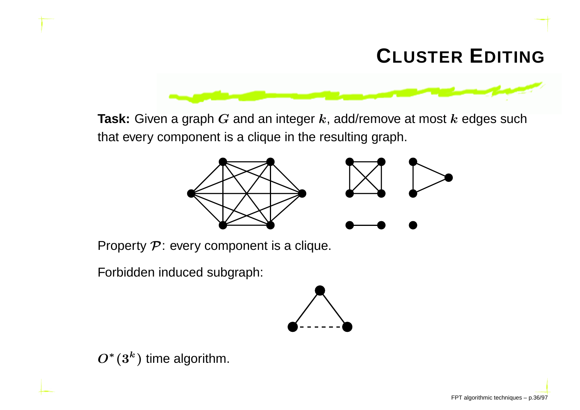# **CLUSTER <sup>E</sup>DITING**

**Task:** Given a graph  $G$  and an integer  $k$ , add/remove at most  $k$  edges such that every component is <sup>a</sup> clique in the resulting graph.



Property  $\mathcal P$ : every component is a clique.

Forbidden induced subgraph:



 $O^*(3^k)$  time algorithm.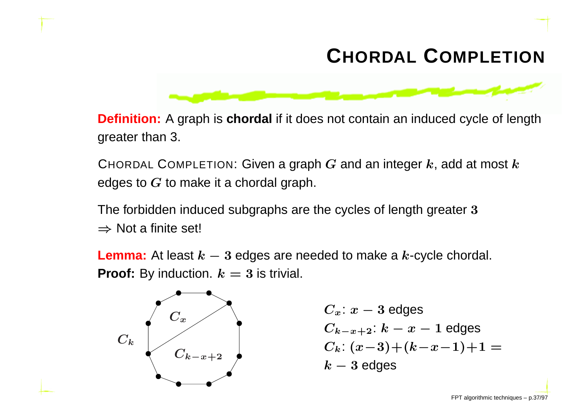# **CHORDAL <sup>C</sup>OMPLETION**



**Definition:** <sup>A</sup> graph is **chordal** if it does not contain an induced cycle of lengthgreater than 3.

CHORDAL COMPLETION: Given a graph  $G$  and an integer  $k$ , add at most  $k$ edges to  $\boldsymbol{G}$  to make it a chordal graph.

The forbidden induced subgraphs are the cycles of length greater <sup>3</sup> $\Rightarrow$  Not a finite set!

**Lemma:** At least  $k-3$  edges are needed to make a  $k$ -cycle chordal.<br>■ **Proof:** By induction.  $k = 3$  is trivial.



$$
\begin{array}{c}\nC_x: x - 3 \text{ edges} \\
C_{k-x+2}: k - x - 1 \text{ edges} \\
C_k: (x-3) + (k-x-1) + 1 = k - 3 \text{ edges}\n\end{array}
$$

FPT algorithmic techniques – p.37/97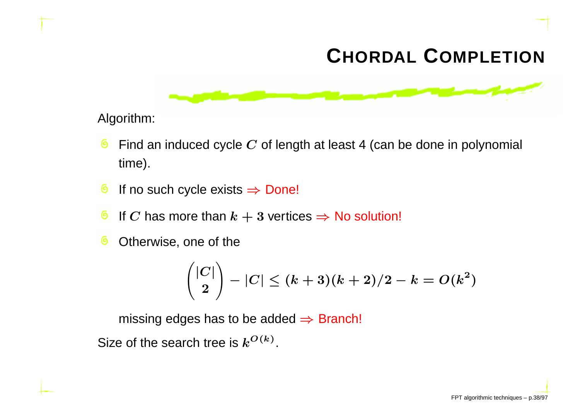# **CHORDAL <sup>C</sup>OMPLETION**



Algorithm:

- ෧ Find an induced cycle  $\boldsymbol{C}$  of length at least 4 (can be done in polynomial time).
- ෧ If no such cycle exists  $\Rightarrow$  Done!
- ෧ If  $C$  has more than  $k+3$  vertices  $\Rightarrow$  No solution!
- Otherwise, one of the෧

$$
\binom{|C|}{2}-|C| \le (k+3)(k+2)/2-k = O(k^2)
$$

missing edges has to be added  $\Rightarrow$  Branch!

Size of the search tree is  $k^{O(k)}.$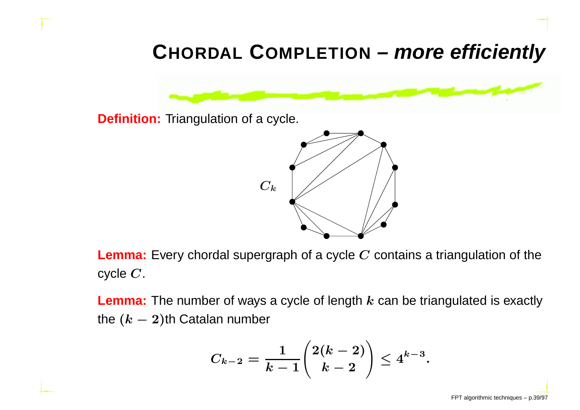# **CHORDAL <sup>C</sup>OMPLETION – more efficiently**

**Definition:** Triangulation of <sup>a</sup> cycle.



**Lemma:** Every chordal supergraph of <sup>a</sup> cycle <sup>C</sup> contains <sup>a</sup> triangulation of the cycle  $\boldsymbol{C}.$ 

**Lemma:** The number of ways a cycle of length  $k$  can be triangulated is exactly the  $(k-2)$ th Catalan number

$$
C_{k-2} = \frac{1}{k-1}\binom{2(k-2)}{k-2} \le 4^{k-3}.
$$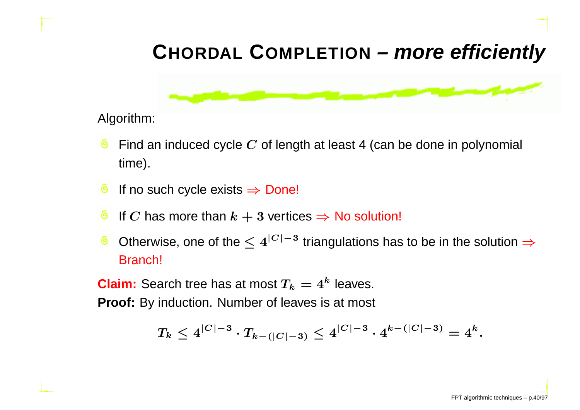# **CHORDAL <sup>C</sup>OMPLETION – more efficiently**



Algorithm:

- Find an induced cycle  $\boldsymbol{C}$  of length at least 4 (can be done in polynomial time).
- ෧ If no such cycle exists  $\Rightarrow$  Done!
- If  $C$  has more than  $k+3$  vertices  $\Rightarrow$  No solution!
- Otherwise, one of the  $\leq 4^{|C|-3}$  triangulations has to be in the solution  $\Rightarrow$ Branch!

**Claim:** Search tree has at most  $T_k = 4^k$  leaves.

**Proof:** By induction. Number of leaves is at most

$$
T_k \leq 4^{|C|-3} \cdot T_{k-(|C|-3)} \leq 4^{|C|-3} \cdot 4^{k-(|C|-3)} = 4^k.
$$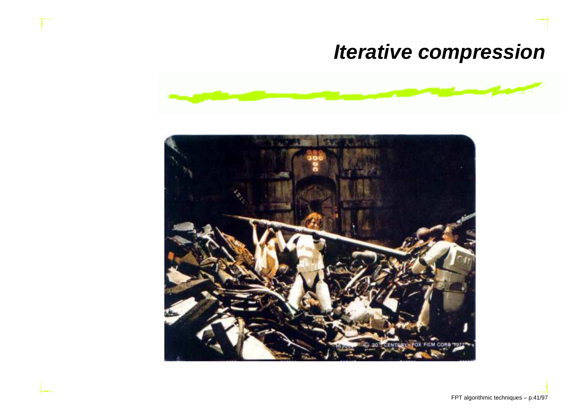## **Iterative compression**



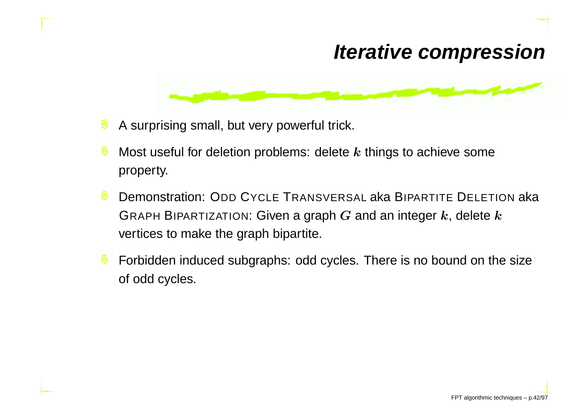#### **Iterative compression**



- A surprising small, but very powerful trick. ෧
- ෧ Most useful for deletion problems: delete  $\bm{k}$  things to achieve some property.
- ෧ Demonstration: ODD CYCLE TRANSVERSAL aka BIPARTITE DELETION aka GRAPH BIPARTIZATION: Given a graph  $G$  and an integer  $k$ , delete  $k$ vertices to make the graph bipartite.
- Forbidden induced subgraphs: odd cycles. There is no bound on the size෧ of odd cycles.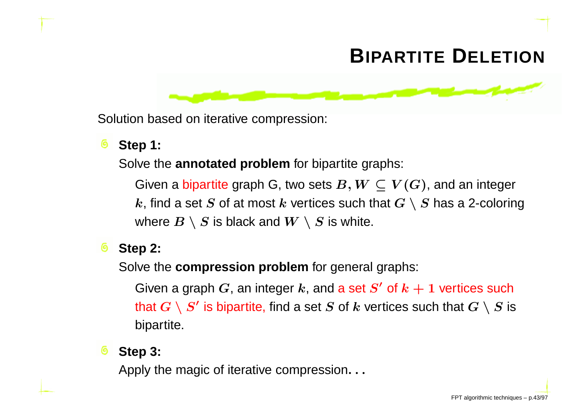# **BIPARTITE <sup>D</sup>ELETION**

Solution based on iterative compression:

#### **Step 1:**

Solve the **annotated problem** for bipartite graphs:

Given a bipartite graph G, two sets  $B,W\subseteq V(G)$ , and an integer<br>Le find a set S of at most Levertiess such that  $G\setminus S$  has a 2 solarin  $k$ , find a set  $S$  of at most  $k$  vertices such that  $G \setminus S$  has a 2-coloring where  $B\setminus S$  is black and  $W\setminus S$  is white.

#### **Step 2:**෧

Solve the **compression problem** for general graphs:

Given a graph  $G$ , an integer  $k$ , and a set  $S^{\prime}$  of  $k+1$  vertices such that  $G \setminus S'$  is bipartite, find a set  $S$  of  $k$  vertices such that  $G \setminus S$  is bipartite.

#### ෧ **Step 3:**

Apply the magic of iterative compression. . .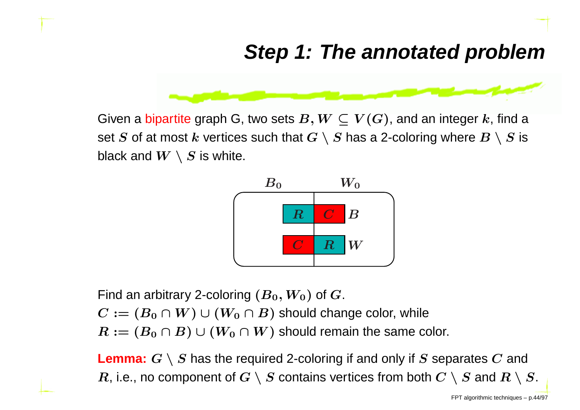#### **Step 1: The annotated problem**



Given a bipartite graph G, two sets  $B,W\subseteq V(G)$ , and an integer  $k$ , find a set  $S$  of at most  $k$  vertices such that  $G\setminus S$  has a 2-coloring where  $B\setminus S$  is black and  $W\setminus S$  is white.



Find an arbitrary 2-coloring  $(B_{0}, W_{0})$  of  $G_{\cdot}$ 

 $C := (B_0 \cap W) \cup (W_0 \cap B)$  should change color, while

 $R := (B_0 \cap B) \cup (W_0 \cap W)$  should remain the same color.

**Lemma:**  $G \setminus S$  has the required 2-coloring if and only if  $S$  separates  $C$  and  $R$ , i.e., no component of  $G\setminus S$  contains vertices from both  $C\setminus S$  and  $R\setminus S.$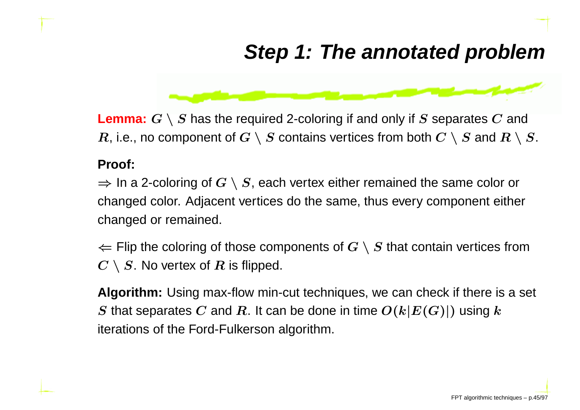## **Step 1: The annotated problem**



**Lemma:**  $G \setminus S$  has the required 2-coloring if and only if  $S$  separates  $C$  and  $R$ , i.e., no component of  $G\setminus S$  contains vertices from both  $C\setminus S$  and  $R\setminus S.$ 

#### **Proof:**

⇒ In a 2-coloring of  $G \setminus S$ , each vertex either remained the same color or<br>changed color. Adiacent vertices do the same, thus every component eithe changed color. Adjacent vertices do the same, thus every component eitherchanged or remained.

 $\Leftarrow$  Flip the coloring of those components of  $G\setminus S$  that contain vertices from<br> $G\setminus S$ . No vertex of  $B$  is flipped  $C\setminus S.$  No vertex of  $R$  is flipped.

**Algorithm:** Using max-flow min-cut techniques, we can check if there is <sup>a</sup> set  $S$  that separates  $C$  and  $R$ . It can be done in time  $O(k|E(G)|)$  using  $k$ iterations of the Ford-Fulkerson algorithm.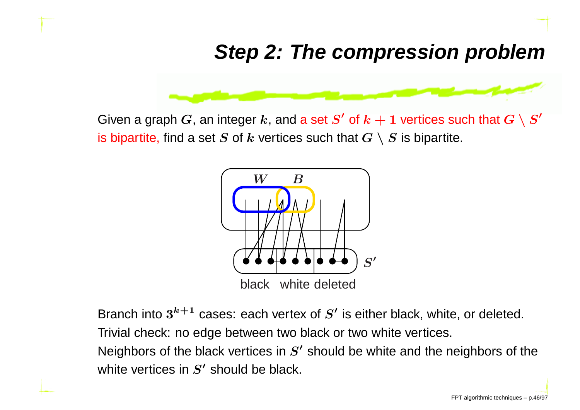#### **Step 2: The compression problem**



Given a graph  $G$ , an integer  $k$ , and a set  $S'$  of  $k+1$  vertices such that  $G\setminus S'$ is bipartite, find a set  $S$  of  $k$  vertices such that  $G\setminus S$  is bipartite.

![](_page_47_Figure_3.jpeg)

Branch into  $3^{k+1}$  cases: each vertex of  $S^{\prime}$  is either black, white, or deleted.

Trivial check: no edge between two black or two white vertices.

Neighbors of the black vertices in  $S^{\prime}$  should be white and the neighbors of the white vertices in  $S^{\prime}$  should be black.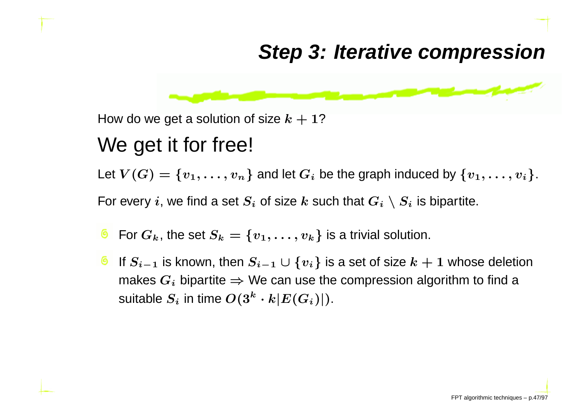#### **Step 3: Iterative compression**

![](_page_48_Figure_1.jpeg)

How do we get a solution of size  $k+1$ ?

#### We get it for free!

Let  $V(G)=\{v_1,\ldots,v_n\}$  and let  $G_i$  be the graph induced by  $\{v_1,\ldots,v_i\}.$ 

For every  $i$ , we find a set  $S_i$  of size  $k$  such that  $G_i\setminus S_i$  is bipartite.

- For  $G_k$ , the set  $S_k = \{v_1, \ldots, v_k\}$  is a trivial solution.
- If  $S_{i-1}$  is known, then  $S_{i-1}\cup\{v_i\}$  is a set of size  $k+1$  whose deletion makes  $G_i$  bipartite  $\Rightarrow$  We can use the compression algorithm to find a nuitable  $S_i$  in time  $O(3^k - k \cdot F(C_i))$ suitable  $S_i$  in time  $O(3^k$  $^k\cdot k|E(G_i)|).$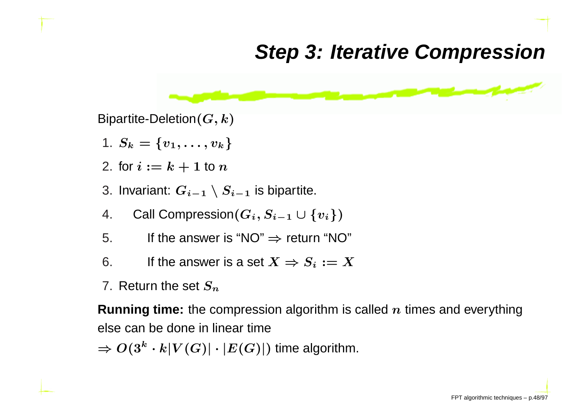#### **Step 3: Iterative Compression**

![](_page_49_Figure_1.jpeg)

Bipartite-Deletion $(G, k)$ 

- 1.  $S_k=\{v_1, \ldots, v_k\}$
- 2. for  $i := k + 1$  to  $n$
- 3. Invariant:  $G_{i-1}\setminus S_{i-1}$  is bipartite.
- 4.. Call Compression $(G_i, S_{i-1} \cup \{v_i\})$
- 5.. If the answer is "NO"  $\Rightarrow$  return "NO"
- 6.. If the answer is a set  $X \Rightarrow S_i := X$
- 7. Return the set  $\boldsymbol{S_n}$

**Running time:** the compression algorithm is called  $n$  times and everything else can be done in linear time

 $\Rightarrow O(3^k$  $\lvert k \cdot k \rvert V(G) \rvert \cdot \lvert E(G) \rvert)$  time algorithm.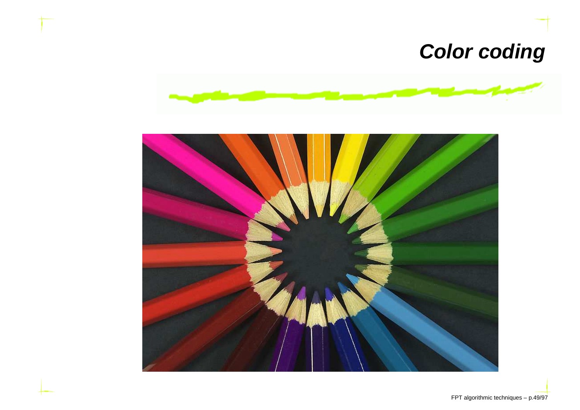## **Color coding**

![](_page_50_Picture_1.jpeg)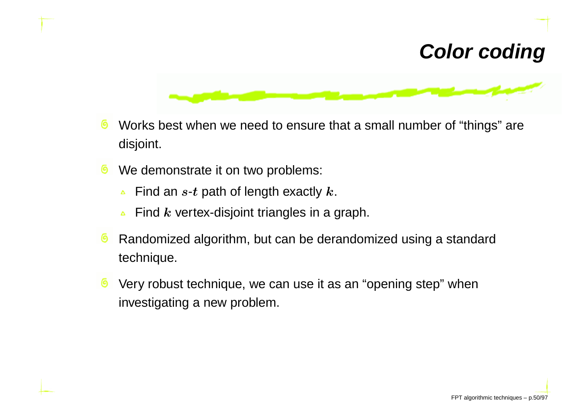## **Color coding**

![](_page_51_Figure_1.jpeg)

- Works best when we need to ensure that <sup>a</sup> small number of "things" are෧ disjoint.
- We demonstrate it on two problems: ෧
	- Find an  $s\text{-}t$  path of length exactly  $k.$  $\Delta$
	- Find  $\bm{k}$  vertex-disjoint triangles in a graph.
- Randomized algorithm, but can be derandomized using <sup>a</sup> standard෧ technique.
- Very robust technique, we can use it as an "opening step" when౷ investigating <sup>a</sup> new problem.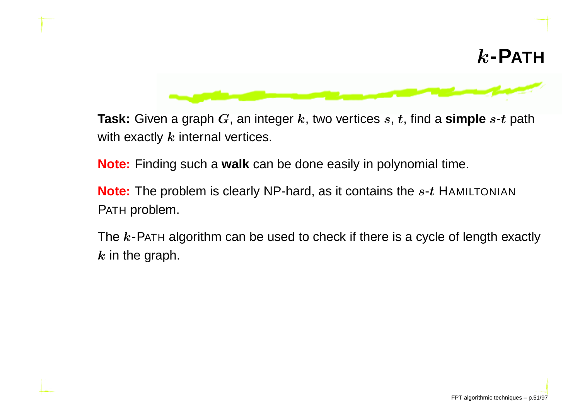![](_page_52_Picture_0.jpeg)

![](_page_52_Picture_1.jpeg)

**Task:** Given a graph  $G$ , an integer  $k$ , two vertices  $s$ ,  $t$ , find a  $\textbf{simple } s\text{-}t$  path with exactly  $\bm{k}$  internal vertices.

**Note:** Finding such <sup>a</sup> **walk** can be done easily in polynomial time.

**Note:** The problem is clearly NP-hard, as it contains the <sup>s</sup>-<sup>t</sup> <sup>H</sup>AMILTONIANPATH problem.

The  $\boldsymbol{k}$ -P<code>ATH</code> algorithm can be used to check if there is a cycle of length exactly  $\bm{k}$  in the graph.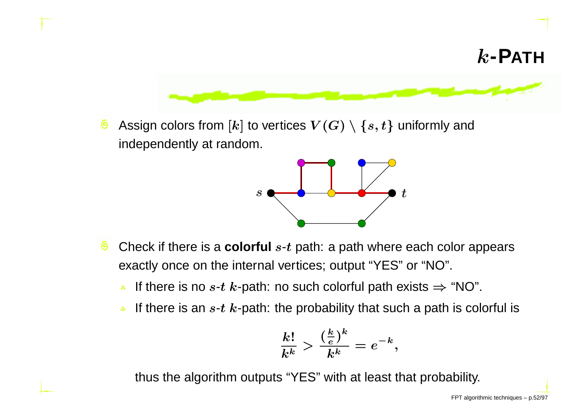![](_page_53_Figure_0.jpeg)

෧ Assign colors from  $[k]$  to vertices  $V(G) \setminus \{s,t\}$  uniformly and independently at random.

![](_page_53_Figure_2.jpeg)

- ෧ Check if there is <sup>a</sup> **colorful** <sup>s</sup>-<sup>t</sup> path: <sup>a</sup> path where each color appears exactly once on the internal vertices; output "YES" or "NO".
	- If there is no  $s$ - $t$   $k$ -path: no such colorful path exists  $\Rightarrow$  "NO".  $\Delta$
	- If there is an  $s\text{-}t$   $k\text{-}$ path: the probability that such a path is colorful is  $\Delta$

$$
\frac{k!}{k^k} > \frac{(\frac{k}{e})^k}{k^k} = e^{-k},
$$

thus the algorithm outputs "YES" with at least that probability.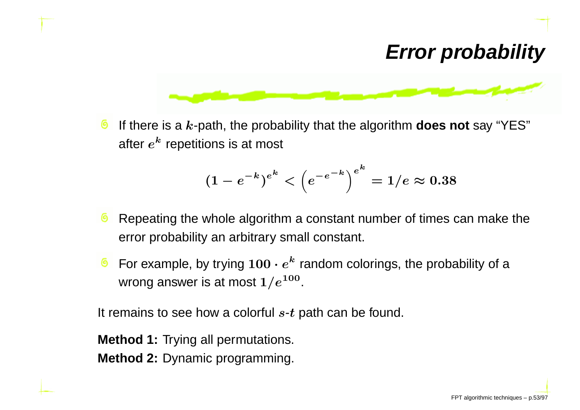### **Error probability**

![](_page_54_Figure_1.jpeg)

෧ If there is a k-path, the probability that the algorithm **does not** say "YES" after  $e^{\bm{k}}$  repetitions is at most

$$
(1-e^{-k})^{e^{k}}<\left(e^{-e^{-k}}\right)^{e^{k}}=1/e\approx 0.38
$$

- Repeating the whole algorithm <sup>a</sup> constant number of times can make the error probability an arbitrary small constant.
- For example, by trying  $100 \cdot e$  $^k$  random colorings, the probability of a wrong answer is at most  $1/e^{100}.$

It remains to see how a colorful  $s\text{-}t$  path can be found.

**Method 1:** Trying all permutations.

**Method 2:** Dynamic programming.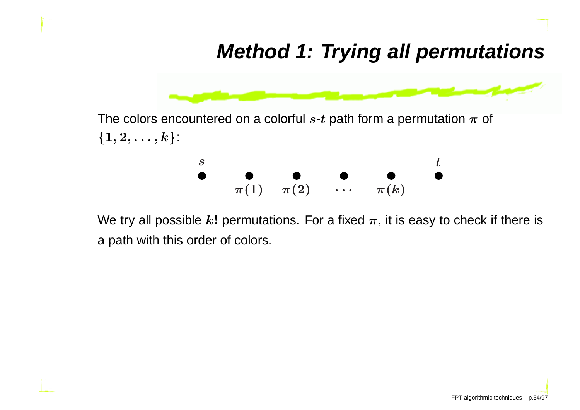## **Method 1: Trying all permutations**

![](_page_55_Figure_1.jpeg)

The colors encountered on a colorful  $s\text{-}t$  path form a permutation  $\pi$  of  $\{1,2,\ldots,k\}$ :

![](_page_55_Figure_3.jpeg)

We try all possible  $k!$  permutations. For a fixed  $\pi,$  it is easy to check if there is <sup>a</sup> path with this order of colors.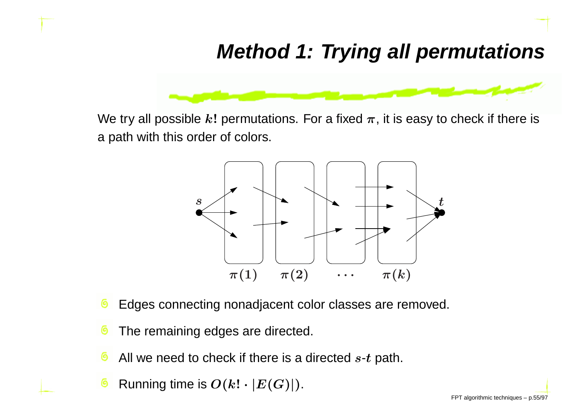## **Method 1: Trying all permutations**

![](_page_56_Figure_1.jpeg)

We try all possible  $k!$  permutations. For a fixed  $\pi,$  it is easy to check if there is <sup>a</sup> path with this order of colors.

![](_page_56_Figure_3.jpeg)

- Edges connecting nonadjacent color classes are removed. ෧
- The remaining edges are directed. ෧
- ෧ All we need to check if there is a directed  $s\hbox{-}t$  path.
- Running time is  $O(k! \cdot |E(G)|)$ . O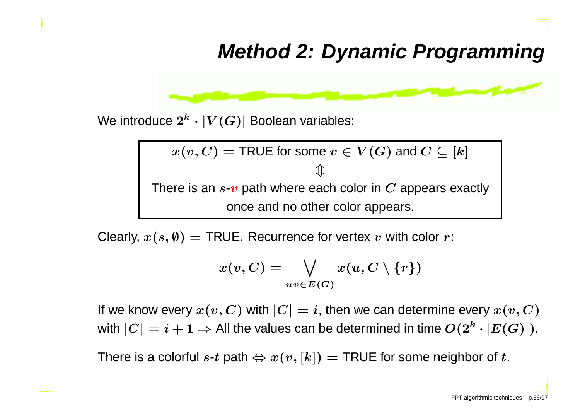#### **Method 2: Dynamic Programming**

$$
f(x) = \frac{1}{\sqrt{2\pi}\sqrt{2\pi}\sqrt{2\pi}\sqrt{2\pi}\sqrt{2\pi}\sqrt{2\pi}\sqrt{2\pi}\sqrt{2\pi}\sqrt{2\pi}\sqrt{2\pi}\sqrt{2\pi}\sqrt{2\pi}\sqrt{2\pi}\sqrt{2\pi}\sqrt{2\pi}\sqrt{2\pi}\sqrt{2\pi}\sqrt{2\pi}\sqrt{2\pi}\sqrt{2\pi}\sqrt{2\pi}\sqrt{2\pi}\sqrt{2\pi}\sqrt{2\pi}\sqrt{2\pi}\sqrt{2\pi}\sqrt{2\pi}\sqrt{2\pi}\sqrt{2\pi}\sqrt{2\pi}\sqrt{2\pi}\sqrt{2\pi}\sqrt{2\pi}\sqrt{2\pi}\sqrt{2\pi}\sqrt{2\pi}\sqrt{2\pi}\sqrt{2\pi}\sqrt{2\pi}\sqrt{2\pi}\sqrt{2\pi}\sqrt{2\pi}\sqrt{2\pi}\sqrt{2\pi}\sqrt{2\pi}\sqrt{2\pi}\sqrt{2\pi}\sqrt{2\pi}\sqrt{2\pi}\sqrt{2\pi}\sqrt{2\pi}\sqrt{2\pi}\sqrt{2\pi}\sqrt{2\pi}\sqrt{2\pi}\sqrt{2\pi}\sqrt{2\pi}\sqrt{2\pi}\sqrt{2\pi}\sqrt{2\pi}\sqrt{2\pi}\sqrt{2\pi}\sqrt{2\pi}\sqrt{2\pi}\sqrt{2\pi}\sqrt{2\pi}\sqrt{2\pi}\sqrt{2\pi}\sqrt{2\pi}\sqrt{2\pi}\sqrt{2\pi}\sqrt{2\pi}\sqrt{2\pi}\sqrt{2\pi}\sqrt{2\pi}\sqrt{2\pi}\sqrt{2\pi}\sqrt{2\pi}\sqrt{2\pi}\sqrt{2\pi}\sqrt{2\pi}\sqrt{2\pi}\sqrt{2\pi}\sqrt{2\pi}\sqrt{2\pi}\sqrt{2\pi}\sqrt{2\pi}\sqrt{2\pi}\sqrt{2\pi}\sqrt{2\pi}\sqrt{2\pi}\sqrt{2\pi}\sqrt{2\pi}\sqrt{2\pi}\sqrt{2\pi}\sqrt{2\pi}\sqrt{2\pi}\sqrt{2\pi}\sqrt{2\pi}\sqrt{2\pi}\sqrt{2\pi}\sqrt{2\pi}\sqrt{2\pi}\sqrt{2\pi}\sqrt{2\pi}\sqrt{2\pi}\sqrt{2\pi}\sqrt{2\pi}\sqrt{2\pi}\sqrt{2\pi}\sqrt{2\pi}\sqrt{2\pi}\sqrt{2\pi}\sqrt{2\pi}\sqrt{2\pi}\sqrt{2\pi}\sqrt{2\pi}\sqrt{2\pi}\sqrt{2\pi}\sqrt{2\pi}\sqrt{2\pi}\sqrt{2\pi}\sqrt{2\pi}\sqrt{2\pi}\sqrt{2\pi
$$

We introduce  $2^k \cdot |V(G)|$  Boolean variables:

$$
x(v, C) = \text{TRUE for some } v \in V(G) \text{ and } C \subseteq [k]
$$
  
There is an *s-v* path where each color in *C* appears exactly once and no other color appears.

Clearly,  $x(s, \emptyset) = \textsf{TRUE}.$  Recurrence for vertex  $v$  with color  $r$ :

$$
x(v,C)=\bigvee_{uv\in E(G)}x(u,C\setminus\{r\})
$$

If we know every  $x(v, C)$  with  $|C| = i,$  then we can determine every  $x(v, C)$ with  $|C|=i+1 \Rightarrow$  All the values can be determined in time  $O(2^k \cdot |E(G)|).$ 

There is a colorful  $s\text{-}t$  path  $\Leftrightarrow x(v,[k]) = \textsf{TRUE}$  for some neighbor of  $t.$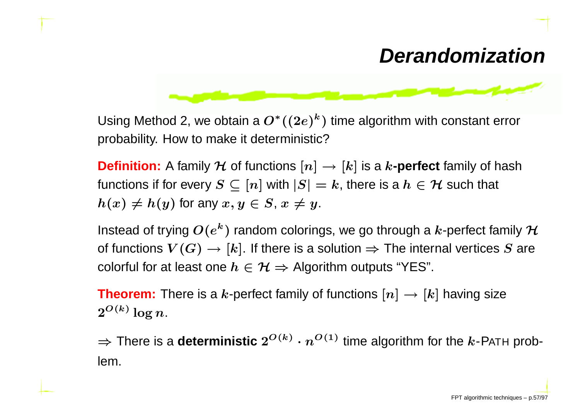## **Derandomization**

![](_page_58_Figure_1.jpeg)

Using Method 2, we obtain a  $O^*((2e)^k$  probability. How to make it deterministic? $\scriptstyle{^{\kappa}}$ ) time algorithm with constant error

**Definition:** A family  $\mathcal H$  of functions  $[n] \to [k]$  is a  $k$ **-perfect** family of hash<br>functions if for every  $S \subset [n]$  with  $|S| = k$  there is a  $h \in \mathcal H$  such that functions if for every  $S \subseteq [n]$  with  $|S| = k$ , there is a  $h \in H$  such that  $h(x)\neq h(y)$  for any  $x,y\in S$ ,  $x\neq y.$ 

Instead of trying  $O(e^k)$   $^k$ ) random colorings, we go through a  $k$ -perfect family  ${\cal H}$ of functions  $V(G) \to [k]$ . If there is a solution  $\Rightarrow$  The internal vertices  $S$  are<br>colorful for at least one  $h \in \mathcal{H} \to \Lambda$ lgorithm outputs "YES" colorful for at least one  $h\in \mathcal{H} \Rightarrow$  Algorithm outputs "YES".

**Theorem:** There is a  $k$ -perfect family of functions  $[n] \rightarrow [k]$  having size  $2^{O(k)}$  log n  $2^{O(k)}\log n$  .

 $\Rightarrow$  There is a **deterministic**  $2^{O(k)} \cdot n$  $^{O(1)}$  time algorithm for the  $k$ -P<code>ATH</code> problem.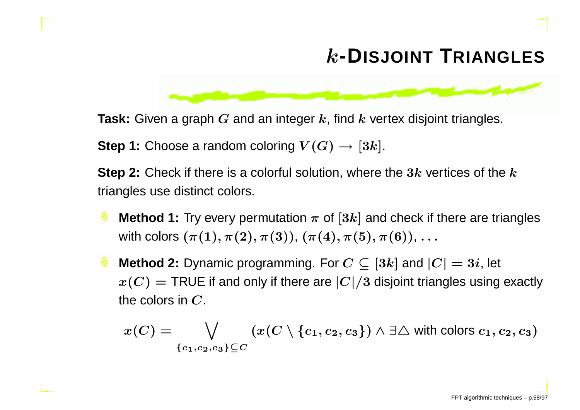# k**-DISJOINT <sup>T</sup>RIANGLES**

![](_page_59_Figure_1.jpeg)

**Step 1:** Choose a random coloring  $V(G) \rightarrow [3k]$ .

**Step 2:** Check if there is a colorful solution, where the  $3k$  vertices of the  $k$ triangles use distinct colors.

- **Method 1:** Try every permutation  $\pi$  of  $[3k]$  and check if there are triangles with colors  $(\pi(1), \pi(2), \pi(3))$ ,  $(\pi(4), \pi(5), \pi(6))$ ,  $\ldots$
- **Method 2:** Dynamic programming. For  $C \subseteq [3k]$  and  $|C| = 3i$ , let  $x(C) = \textsf{TRUE}$  if and only if there are  $|C|/3$  disjoint triangles using exactly<br>the selection  $G$ the colors in  $\boldsymbol{C}.$

$$
x(C) = \bigvee_{\{c_1, c_2, c_3\} \subseteq C} (x(C \setminus \{c_1, c_2, c_3\}) \land \exists \triangle \text{ with colors } c_1, c_2, c_3)
$$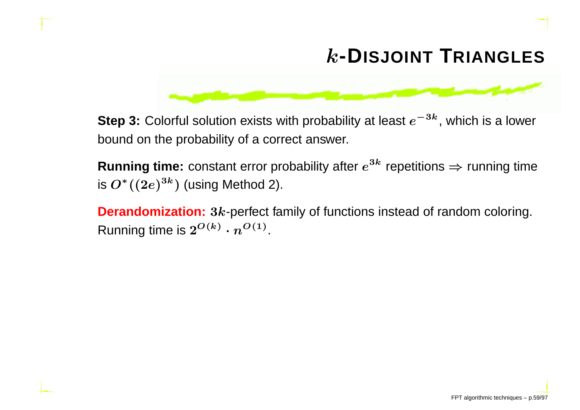# k**-DISJOINT <sup>T</sup>RIANGLES**

![](_page_60_Figure_1.jpeg)

**Step 3:** Colorful solution exists with probability at least  $e^{-3k}$ , which is a lower bound on the probability of <sup>a</sup> correct answer.

**Running time:** constant error probability after  $e^{3k}$  repetitions  $\Rightarrow$  running time<br>is  $O^*( (2e)^{3k})$  (using Method 2) is  $O^*((2e)^{3k})$  (using Method 2).

**Derandomization:** <sup>3</sup>k-perfect family of functions instead of random coloring. Running time is  $2^{O(k)} \cdot n^{O(1)}.$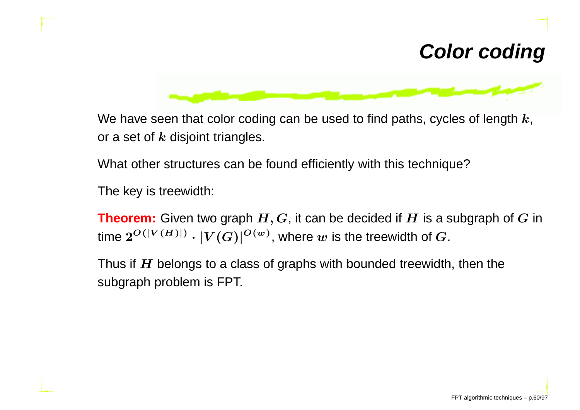#### **Color coding**

![](_page_61_Figure_1.jpeg)

We have seen that color coding can be used to find paths, cycles of length  $k,$ or a set of  $\bm{k}$  disjoint triangles.

What other structures can be found efficiently with this technique?

The key is treewidth:

**Theorem:** Given two graph  $H, G$ , it can be decided if  $H$  is a subgraph of  $G$  in<br>time  $P^{O(|V(H)|)}$  is  $I^{(C)}(G)|^{O(w)}$  where the treatright of  $G$ time  $2^{O(|V(H)|)} \cdot |V(G)|^{O(w)},$  where  $w$  is the treewidth of  $G.$ 

Thus if  $H$  belongs to a class of graphs with bounded treewidth, then the subscriptions is  $F\cap T$ subgraph problem is FPT.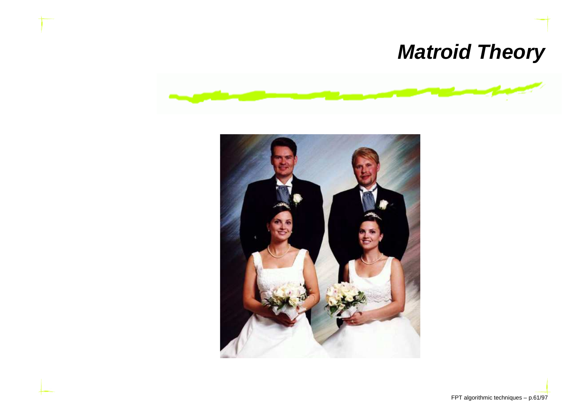## **Matroid Theory**

![](_page_62_Picture_1.jpeg)

![](_page_62_Picture_2.jpeg)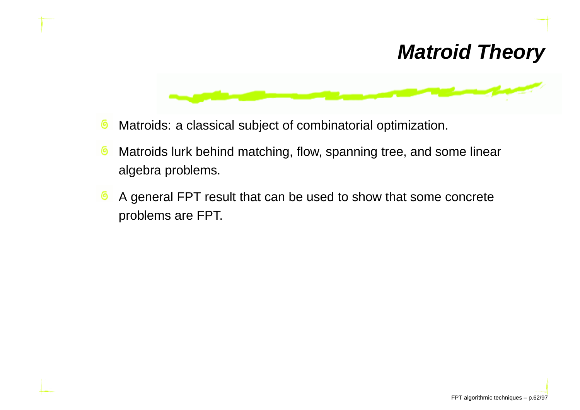#### **Matroid Theory**

![](_page_63_Figure_1.jpeg)

- Matroids: <sup>a</sup> classical subject of combinatorial optimization. ෧
- ෧ Matroids lurk behind matching, flow, spanning tree, and some linear algebra problems.
- ෧ A general FPT result that can be used to show that some concret eproblems are FPT.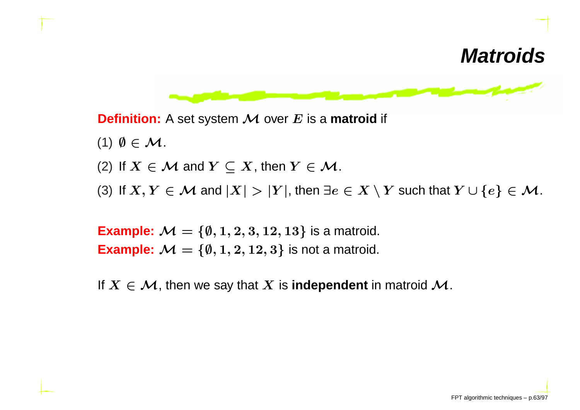#### **Matroids**

![](_page_64_Figure_1.jpeg)

**Definition:** <sup>A</sup> set system <sup>M</sup> over <sup>E</sup> is <sup>a</sup> **matroid** if

- (1)  $\emptyset \in \mathcal{M}$ .
- (2) If  $X \in \mathcal{M}$  and  $Y \subseteq X$ , then  $Y \in \mathcal{M}$ .<br>(2) If  $X, X \in M$  and  $|X| > |X|$ , then  $\exists$
- (3) If  $X, Y \in \mathcal{M}$  and  $|X| > |Y|$ , then  $\exists e \in X \setminus Y$  such that  $Y \cup \{e\} \in \mathcal{M}$ .

**Example:**  $\mathcal{M} = \{\emptyset, 1, 2, 3, 12, 13\}$  is a matroid.<br>**Example:**  $\mathcal{M} = \{\emptyset, 1, 2, 12, 3\}$  is not a matroid. **Example:**  $\mathcal{M} = \{\emptyset, 1, 2, 12, 3\}$  is not a matroid.

If  $X \in \mathcal{M}$ , then we say that  $X$  is **independent** in matroid  $\mathcal{M}$ .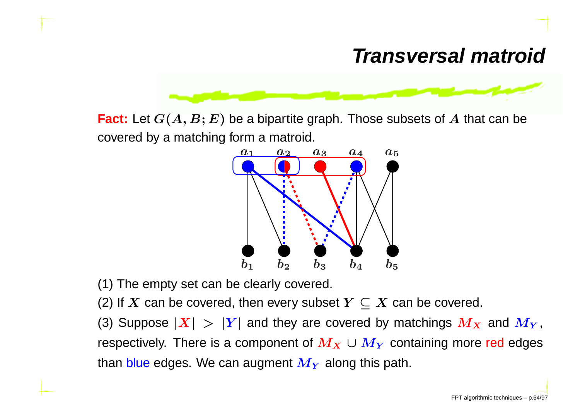## **Transversal matroid**

![](_page_65_Figure_1.jpeg)

**Fact:** Let  $G(A, B; E)$  be a bipartite graph. Those subsets of  $A$  that can be covered by <sup>a</sup> matching form <sup>a</sup> matroid.

![](_page_65_Figure_3.jpeg)

(1) The empty set can be clearly covered.

(2) If  $X$  can be covered, then every subset  $Y\subseteq X$  can be covered.

(3) Suppose  $|\bm{X}| > |\bm{Y}|$  and they are covered by matchings  $\bm{M}_{\bm{X}}$  and  $\bm{M}_{\bm{Y}}$  $\mathbf{I}$ , respectively. There is a component of  $\boldsymbol{M_X\cup M_Y}$  containing more red edges than <mark>blue</mark> edges. We can augment  $\boldsymbol{M_{Y}}$  along this path.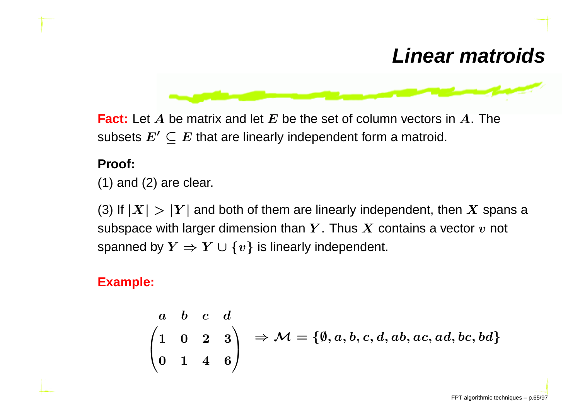#### **Linear matroids**

![](_page_66_Figure_1.jpeg)

**Fact:** Let  $A$  be matrix and let  $E$  be the set of column vectors in  $A$ . The subsets  $E'\subseteq E$  that are linearly independent form a matroid.

#### **Proof:**

 $(1)$  and  $(2)$  are clear.

(3) If  $|X| > |Y|$  and both of them are linearly independent, then X spans a colored part is a span of the span of the span of  $X$  spaning contains a spatial part of the spaning spaning of the spaning spaning spaning spanin subspace with larger dimension than  $Y.$  Thus  $X$  contains a vector  $v$  not spanned by  $Y \Rightarrow Y \cup \{v\}$  is linearly independent.

#### **Example:**

$$
\begin{pmatrix} a & b & c & d \\ 1 & 0 & 2 & 3 \\ 0 & 1 & 4 & 6 \end{pmatrix} \Rightarrow \mathcal{M} = \{ \emptyset, a, b, c, d, ab, ac, ad, bc, bd \}
$$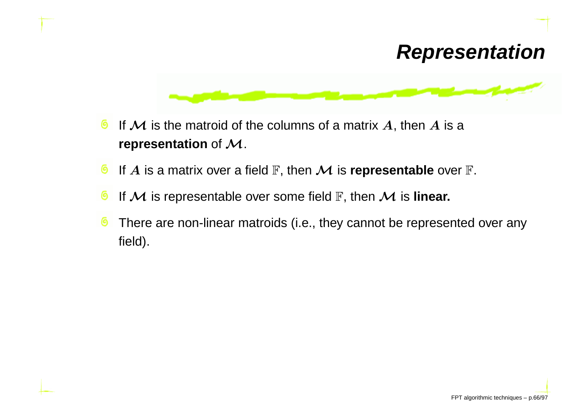#### **Representation**

![](_page_67_Figure_1.jpeg)

- ෧ If  ${\mathcal M}$  is the matroid of the columns of a matrix  $A$ , then  $A$  is a<br>representation of  ${\mathcal M}$ **representation** of  $\mathcal{M}$ .
- ෧ If  $A$  is a matrix over a field  $\mathbb F,$  then  $\mathcal M$  is **representable** over  $\mathbb F.$
- ෧ If  $\mathcal M$  is representable over some field  $\mathbb F,$  then  $\mathcal M$  is **linear.**<br>—
- There are non-linear matroids (i.e., they cannot be represented over any෧ field).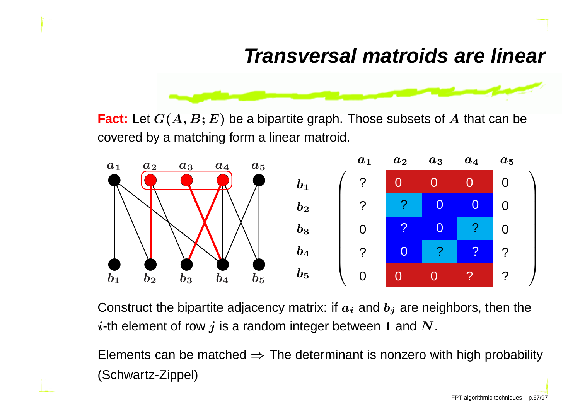#### **Transversal matroids are linear**

![](_page_68_Figure_1.jpeg)

**Fact:** Let  $G(A, B; E)$  be a bipartite graph. Those subsets of  $A$  that can be covered by <sup>a</sup> matching form <sup>a</sup> linear matroid.

![](_page_68_Figure_3.jpeg)

Construct the bipartite adjacency matrix: if  $a_i$  and  $b_j$  are neighbors, then the  $i$ -th element of row  $j$  is a random integer between 1 and  $\boldsymbol{N}.$ 

Elements can be matched ⇒ The determinant is nonzero with high probability<br>′Cebus¤t= Zinnel\ (Schwartz-Zippel)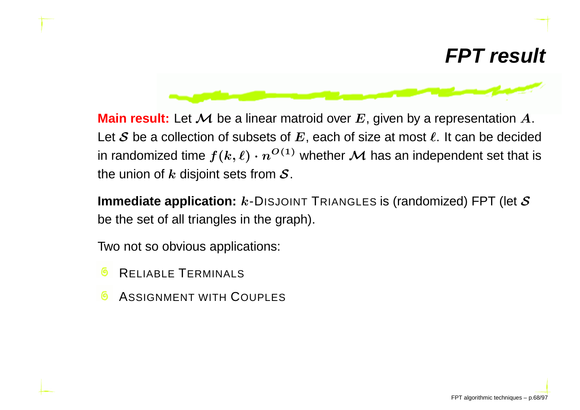#### **FPT result**

![](_page_69_Figure_1.jpeg)

**Main result:** Let  ${\mathcal M}$  be a linear matroid over  $E$ , given by a representation  $A$ .<br>Let  ${\mathcal S}$  be a collection of subsets of  $E$ , each of size at most  $\ell$ , It can be decide Let  ${\mathcal S}$  be a collection of subsets of  $E$ , each of size at most  $\ell.$  It can be decided in randomized time  $f(k,\ell) \cdot n^{O(1)}$  whether  ${\cal M}$  has an independent set that is<br>the union of  $k$  disioint sets from  ${\cal S}$ . the union of  $k$  disjoint sets from  $\cal S.$ 

**Immediate application:**  $k$ -DISJOINT TRIANGLES is (randomized) FPT (let  $\mathcal S$ be the set of all triangles in the graph).

Two not so obvious applications:

- RELIABLE <sup>T</sup>ERMINALS
- ASSIGNMENT WITH <sup>C</sup>OUPLES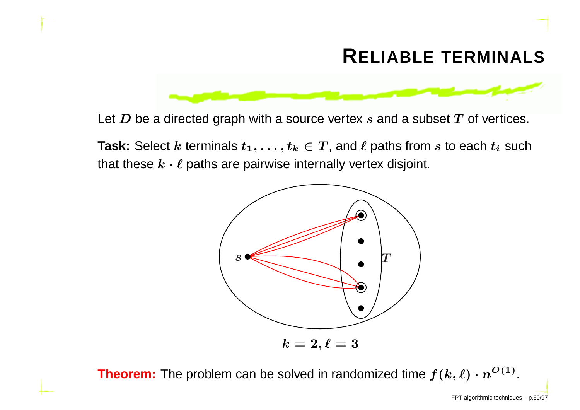#### **RELIABLE TERMINALS**

![](_page_70_Figure_1.jpeg)

Let  $\boldsymbol{D}$  be a directed graph with a source vertex  $s$  and a subset  $\boldsymbol{T}$  of vertices.

**Task:** Select  $k$  terminals  $t_1, \ldots, t_k \in T$ , and  $\ell$  paths from  $s$  to each  $t_i$  such that these  $k \cdot \ell$  paths are pairwise internally vertex disjoint.

![](_page_70_Figure_4.jpeg)

**Theorem:** The problem can be solved in randomized time  $f(k, \ell) \cdot n^{O(1)}.$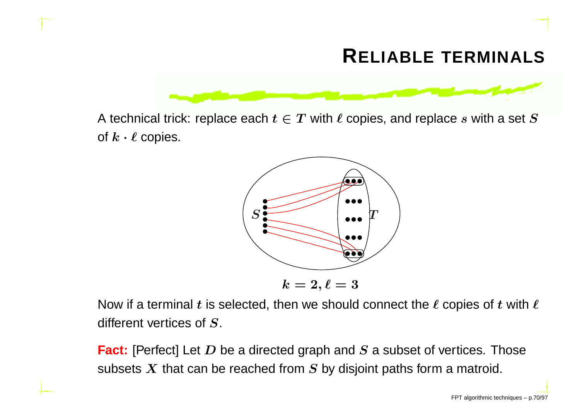#### **RELIABLE TERMINALS**

![](_page_71_Figure_1.jpeg)

A technical trick: replace each  $t \in T$  with  $\ell$  copies, and replace  $s$  with a set  $S$ of  $k \cdot \ell$  copies.

![](_page_71_Figure_3.jpeg)

Now if a terminal  $t$  is selected, then we should connect the  $\ell$  copies of  $t$  with  $\ell$ different vertices of S.

**Fact:** [Perfect] Let *D* be a directed graph and *S* a subset of vertices. Those subsets  $\boldsymbol{X}$  that can be reached from  $\boldsymbol{S}$  by disjoint paths form a matroid.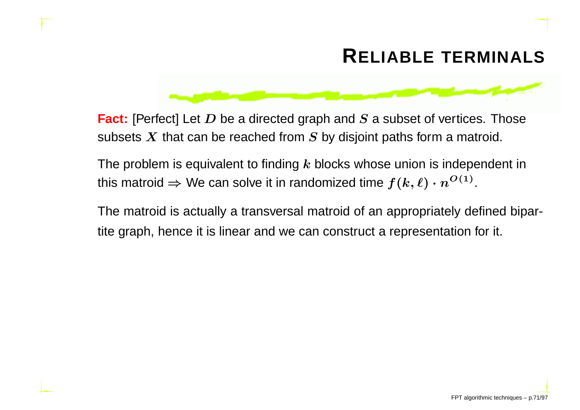#### **RELIABLE TERMINALS**



**Fact:** [Perfect] Let *D* be a directed graph and *S* a subset of vertices. Those subsets  $\boldsymbol{X}$  that can be reached from  $\boldsymbol{S}$  by disjoint paths form a matroid.

The problem is equivalent to finding  $k$  blocks whose union is independent in this matroid  $\Rightarrow$  We can solve it in randomized time  $f(k,\ell) \cdot n^{O(1)}.$ 

The matroid is actually <sup>a</sup> transversal matroid of an appropriately defined bipartite graph, hence it is linear and we can construct <sup>a</sup> representation for it.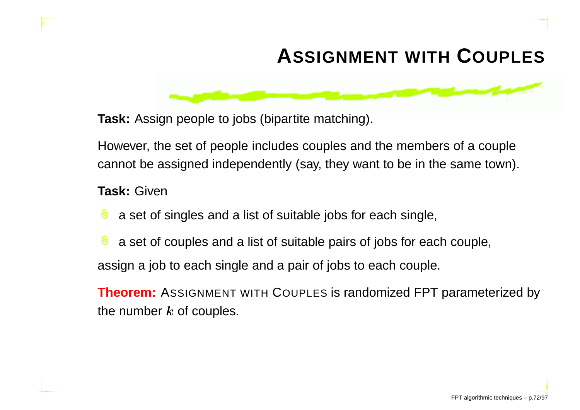## **ASSIGNMENT WITH <sup>C</sup>OUPLES**

**Task:** Assign people to jobs (bipartite matching).

However, the set of people includes couples and the members of <sup>a</sup> couplecannot be assigned independently (say, they want to be in the same town).

#### **Task:** Given

- <sup>a</sup> set of singles and <sup>a</sup> list of suitable jobs for each single,
- <sup>a</sup> set of couples and <sup>a</sup> list of suitable pairs of jobs for each couple, assign <sup>a</sup> job to each single and <sup>a</sup> pair of jobs to each couple.

**Theorem:** <sup>A</sup>SSIGNMENT WITH <sup>C</sup>OUPLES is randomized FPT parameterized by the number  $\bm{k}$  of couples.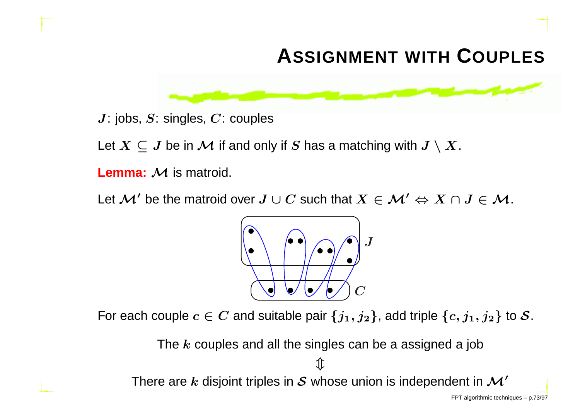## **ASSIGNMENT WITH <sup>C</sup>OUPLES**



 $J:$  jobs,  $S:$  singles,  $C:$  couples

Let  $X \subseteq J$  be in  $\mathcal M$  if and only if  $S$  has a matching with  $J \setminus X.$ 

**Lemma:**  $\mathcal M$  is matroid.

Let  $\mathcal{M}'$  be the matroid over  $J\cup C$  such that  $X\in \mathcal{M}' \Leftrightarrow X\cap J\in \mathcal{M}.$ 



For each couple  $c \in C$  and suitable pair  $\{j_1, j_2\}$ , add triple  $\{c, j_1, j_2\}$  to  ${\cal S}.$ 

The  $\bm{k}$  couples and all the singles can be a assigned a job  $\mathbb T$ There are  $k$  disjoint triples in  $\cal S$  whose union is independent in  $\cal M'$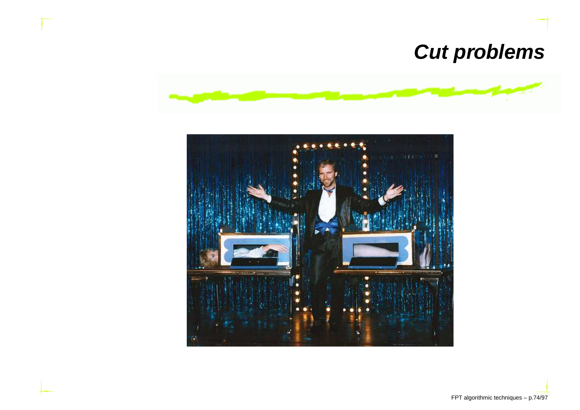### **Cut problems**



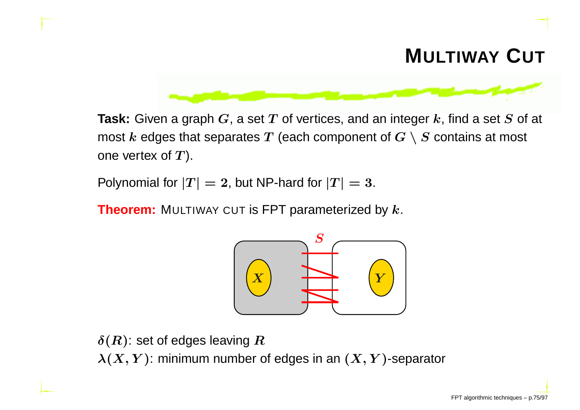## **MULTIWAY <sup>C</sup>UT**



**Task:** Given a graph  $G$ , a set  $T$  of vertices, and an integer  $k$ , find a set  $S$  of at most  $k$  edges that separates  $T$  (each component of  $G \setminus S$  contains at most one vertex of  $T$ ).

Polynomial for  $\left|T\right|=2$ , but NP-hard for  $\left|T\right|=3.$ 

**Theorem:** <sup>M</sup>ULTIWAY CUT is FPT parameterized by <sup>k</sup>.



 $\delta(R)$ : set of edges leaving  $R$ 

 $\boldsymbol{\lambda}(\boldsymbol{X},\boldsymbol{Y})$ : minimum number of edges in an  $(\boldsymbol{X},\boldsymbol{Y})$ -separator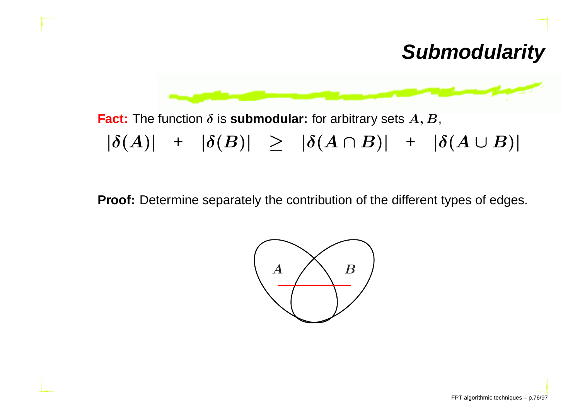### **Submodularity**



**Fact:** The function  $\delta$  is **submodular:** for arbitrary sets  $A, B$ ,  $|\delta(A)|$  +  $|\delta(B)|$   $\geq$   $|\delta(A \cap B)|$  +  $|\delta(A \cup B)|$ 

**Proof:** Determine separately the contribution of the different types of edges.

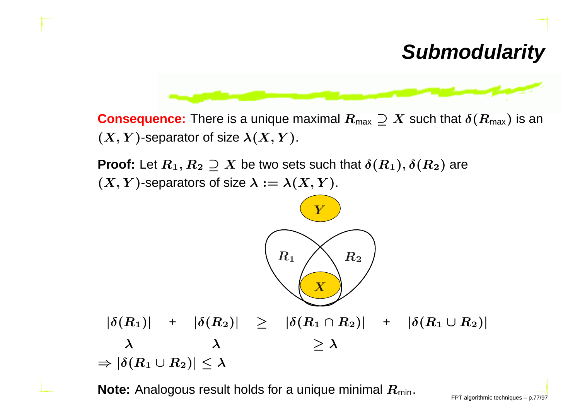#### **Submodularity**



**Consequence:** There is a unique maximal  $R_{\text{max}} \supseteq X$  such that  $\delta(R_{\text{max}})$  is an  $(X,Y)$ -separator of size  $\lambda(X,Y)$ .

**Proof:** Let  $R_1, R_2 \supseteq X$  be two sets such that  $\delta(R_1), \delta(R_2)$  are  $(X,Y)$ -separators of size  $\lambda := \lambda(X,Y)$ .



 $\textsf{Note:}$  Analogous result holds for a unique minimal  $R_\mathsf{min.}$  FPT algorithmic techniques – p.77/97  $\blacksquare$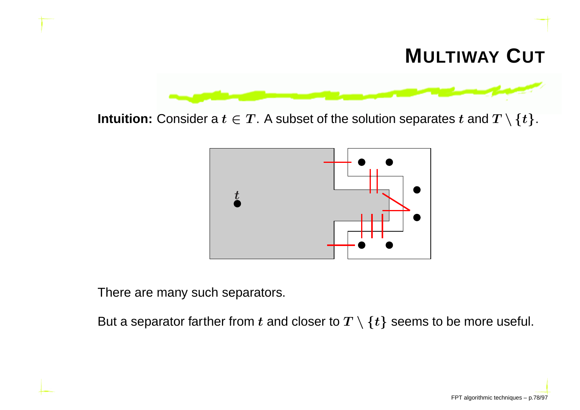### **MULTIWAY <sup>C</sup>UT**



**Intuition:** Consider a  $t \in T$ . A subset of the solution separates  $t$  and  $T \setminus \{t\}$ .



There are many such separators.

But a separator farther from  $t$  and closer to  $T \setminus \{t\}$  seems to be more useful.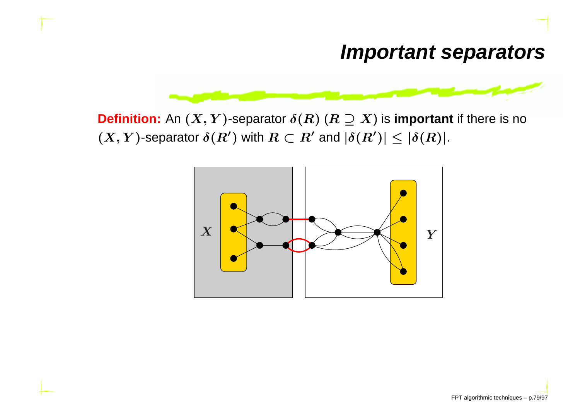

**Definition:** An  $(X,Y)$ -separator  $\delta(R)$   $(R\supseteq X)$  is **important** if there is no  $(X,Y)$ -separator  $\delta(R')$  with  $R\subset R'$  and  $|\delta(R')|\leq |\delta(R)|.$ 

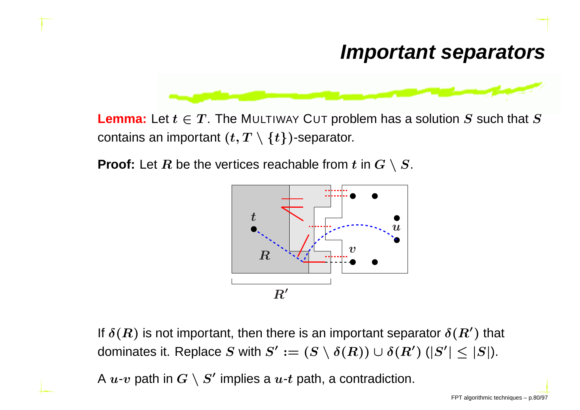

**Lemma:** Let  $t \in T$ . The M∪LTIWAY C∪T problem has a solution  $S$  such that  $S$ contains an important  $(t,T\setminus\{t\})$ -separator.

**Proof:** Let  $R$  be the vertices reachable from  $t$  in  $G \setminus S$ .



If  $\delta(R)$  is not important, then there is an important separator  $\delta(R')$  that dominates it. Replace  $S$  with  $S':=(S\setminus \delta(R))\cup \delta(R')$   $(|S'|\leq |S|).$ 

A  $u\hbox{-} v$  path in  $G\setminus S'$  implies a  $u\hbox{-} t$  path, a contradiction.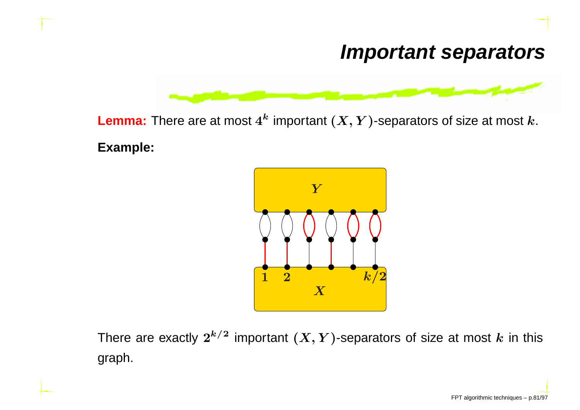

 ${\sf Lemma}\colon$  There are at most  $4^k$  important  $(X,Y)$ -separators of size at most  $k.$ 

**Example:**



There are exactly  $2^{k/2}$  $^2$  important  $(X,Y)$ -separators of size at most  $k$  in this graph.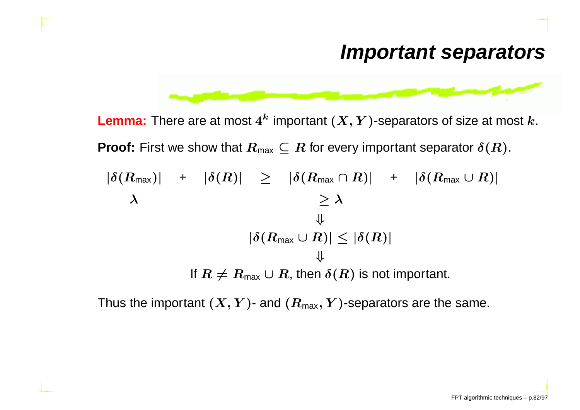

 ${\sf Lemma}\colon$  There are at most  $4^k$  important  $(X,Y)$ -separators of size at most  $k.$ **Proof:** First we show that  $R_{\text{max}} \subseteq R$  for every important separator  $\delta(R)$ .  $|\delta(R_\mathsf{max})|$  +  $|\delta(R)|$   $\geq$   $|\delta(R_\mathsf{max} \cap R)|$  +  $|\delta(R_\mathsf{max} \cup R)|$ λ $\geq \lambda$ ⇓ $|\delta(R_\textsf{max} \cup R)| \leq |\delta(R)|$ ⇓If  $R\neq R_\mathsf{max}\cup R$ , then  $\delta(R)$  is not important.

Thus the important  $(\bm{X}, \bm{Y})$ - and  $(\bm{R}_{\text{max}}, \bm{Y})$ -separators are the same.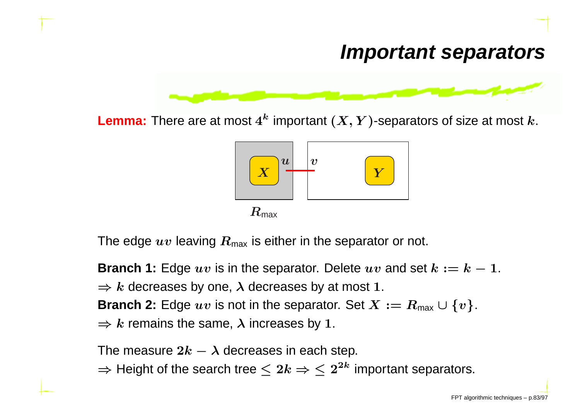

 ${\sf Lemma}\colon$  There are at most  $4^k$  important  $(X,Y)$ -separators of size at most  $k.$ 



The edge  $uv$  leaving  $R_{\sf max}$  is either in the separator or not.

**Branch 1:** Edge  $uv$  is in the separator. Delete  $uv$  and set  $k := k-1$ .  $\Rightarrow k$  decreases by one,  $\lambda$  decreases by at most 1. **Branch 2:** Edge  $uv$  is not in the separator. Set  $X := R_{\text{max}} \cup \{v\}$ .  $\Rightarrow k$  remains the same,  $\lambda$  increases by 1.

The measure  $2k-\lambda$  decreases in each step.

 $\Rightarrow$  Height of the search tree  $\leq 2k \Rightarrow \leq 2^2$  $^{\bm{k}}$  important separators.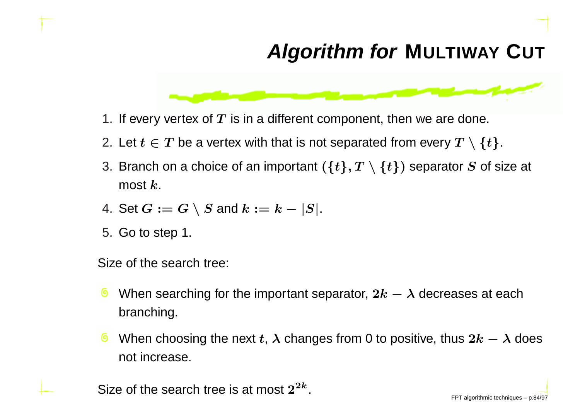## **Algorithm for <sup>M</sup>ULTIWAY <sup>C</sup>UT**



- 1. If every vertex of  $\boldsymbol{T}$  is in a different component, then we are done.
- 2. Let  $t \in T$  be a vertex with that is not separated from every  $T \setminus \{t\}$ .
- 3. Branch on a choice of an important  $(\{t\},T\setminus\{t\})$  separator  $S$  of size at most  $\bm{k}.$
- 4. Set  $G := G \setminus S$  and  $k := k |S|$ .
- 5. Go to step 1.

Size of the search tree:

- When searching for the important separator,  $2k-\lambda$  decreases at each branching.
- When choosing the next  $t,$   $\lambda$  changes from 0 to positive, thus  $2k-\lambda$  does not increase.

Size of the search tree is at most  $2^{2k}$ .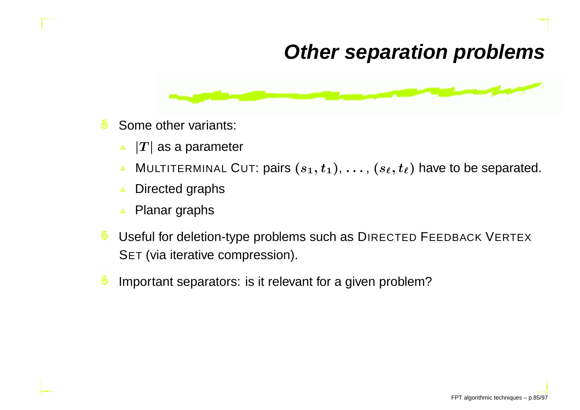#### **Other separation problems**



- Some other variants: ෧
	- $\left|T\right|$  as a parameter  $\Delta$
	- MULTITERMINAL CUT: pairs  $(s_1, t_1), \ldots, (s_\ell, t_\ell)$  have to be separated.  $\Delta$
	- Directed graphs $\Delta$
	- Planar graphs $\Delta$
- ෧ Useful for deletion-type problems such as DIRECTED FEEDBACK VERTEX SET (via iterative compression).
- Important separators: is it relevant for <sup>a</sup> given problem?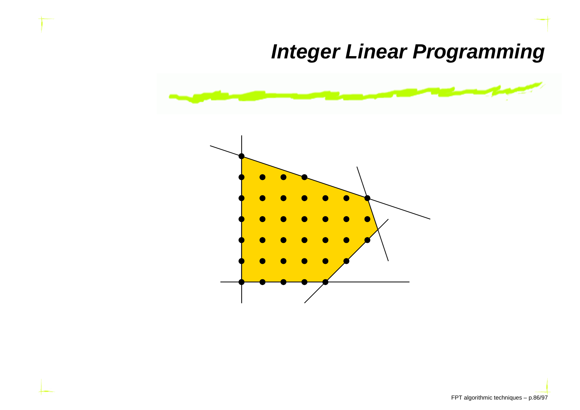### **Integer Linear Programming**

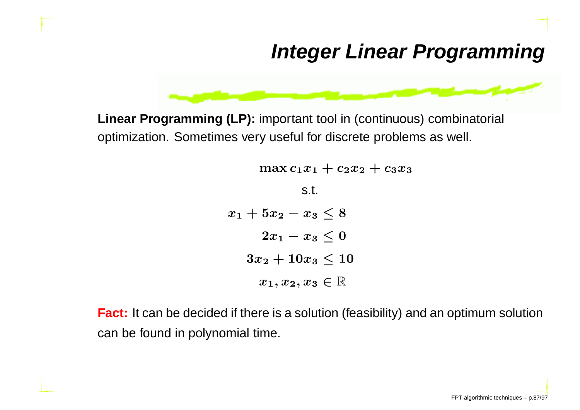### **Integer Linear Programming**



**Linear Programming (LP):** important tool in (continuous) combinatorial optimization. Sometimes very useful for discrete problems as well.

> $\max c_1x_1+c_2x_2+c_3x_3$ s.t. $x_1 + 5x_2 - x_3 \leq 8$  $2x_1-x_3\leq 0$  $3x_2 + 10x_3 \leq 10$  $x_1, x_2, x_3\in\mathbb{R}$

**Fact:** It can be decided if there is <sup>a</sup> solution (feasibility) and an optimum solutioncan be found in polynomial time.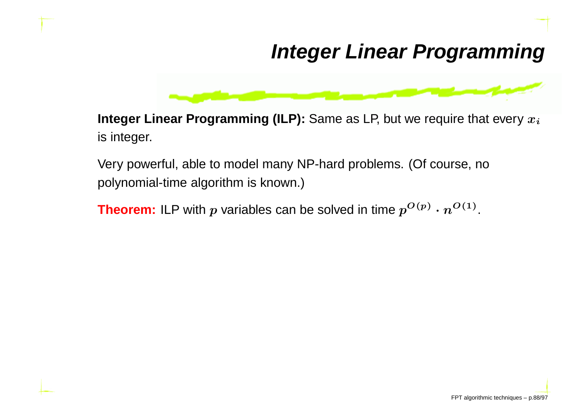### **Integer Linear Programming**



 $\boldsymbol{r}$  **Integer Linear Programming (ILP):** Same as LP, but we require that every  $x_i$ is integer.

Very powerful, able to model many NP-hard problems. (Of course, nopolynomial-time algorithm is known.)

**Theorem:** ILP with  $p$  variables can be solved in time  $p$  $^{O\left( p\right) }$   $\cdot$   $n$  $O(1)$  .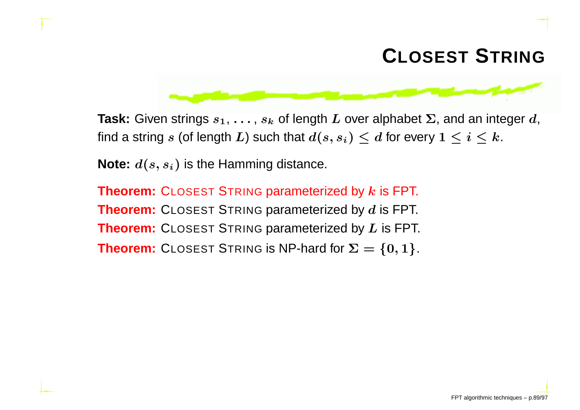### **CLOSEST <sup>S</sup>TRING**



**Task:** Given strings  $s_1, \ldots, s_k$  of length  $L$  over alphabet  $\Sigma$ , and an integer  $d$ , find a string  $s$  (of length  $L$ ) such that  $d(s,s_i) \leq d$  for every  $1 \leq i \leq k$ .

**Note:**  $d(s,s_i)$  is the Hamming distance.

**Theorem:** <code>CLOSEST</code> <code>STRING</code> parameterized by  $k$  is FPT. **Theorem:** CLOSEST <sup>S</sup>TRING parameterized by <sup>d</sup> is FPT. **Theorem:** CLOSEST <sup>S</sup>TRING parameterized by <sup>L</sup> is FPT. **Theorem:** CLOSEST STRING is NP-hard for  $\Sigma = \{0, 1\}$ .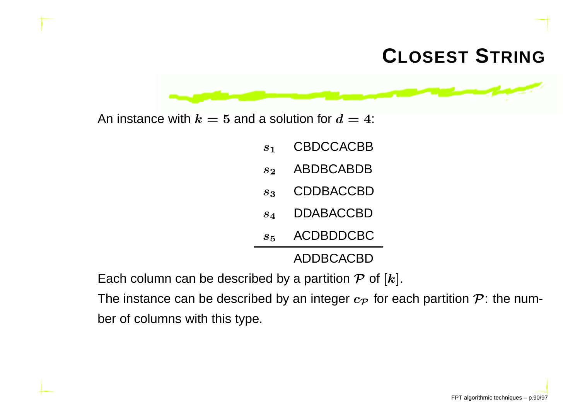### **CLOSEST <sup>S</sup>TRING**



- $s<sub>1</sub>$ CBDCCACBB
- $s<sub>2</sub>$ ABDBCABDB
- $\boldsymbol{s}_3$ CDDBACCBD
- $S_{\mathcal{A}}$ DDABACCBD
- $s<sub>5</sub>$ ACDBDDCBC

ADDBCACBD

Each column can be described by a partition  $\mathcal P$  of  $[k].$ 

The instance can be described by an integer  $c_{\mathcal{P}}$  for each partition  $\mathcal{P}$ : the number of columns with this type.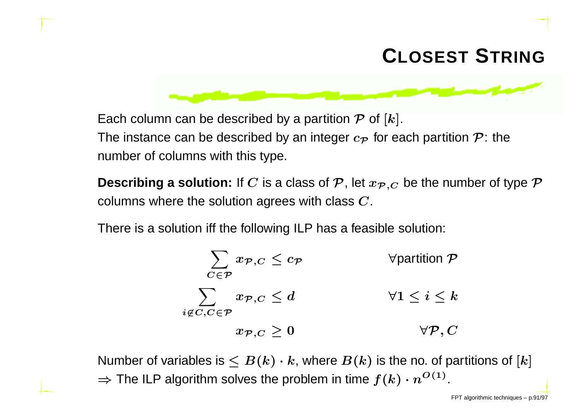### **CLOSEST <sup>S</sup>TRING**



**Describing a solution:** If  $C$  is a class of  $\mathcal{P}$ , let  $x_{\mathcal{P},C}$  be the number of type  $\mathcal{P}$ columns where the solution agrees with class  $\boldsymbol{C}.$ 

There is <sup>a</sup> solution iff the following ILP has <sup>a</sup> feasible solution:

$$
\sum_{C \in \mathcal{P}} x_{\mathcal{P},C} \leq c_{\mathcal{P}} \qquad \qquad \forall \text{partition } \mathcal{P}
$$
\n
$$
\sum_{i \notin C, C \in \mathcal{P}} x_{\mathcal{P},C} \leq d \qquad \qquad \forall 1 \leq i \leq k
$$
\n
$$
x_{\mathcal{P},C} \geq 0 \qquad \qquad \forall \mathcal{P}, C
$$

Number of variables is  $\leq B(k) \cdot k$ , where  $B(k)$  is the no. of partitions of  $[k]$  $\Rightarrow$  The ILP algorithm solves the problem in time  $f(k) \cdot n^{O(1)}.$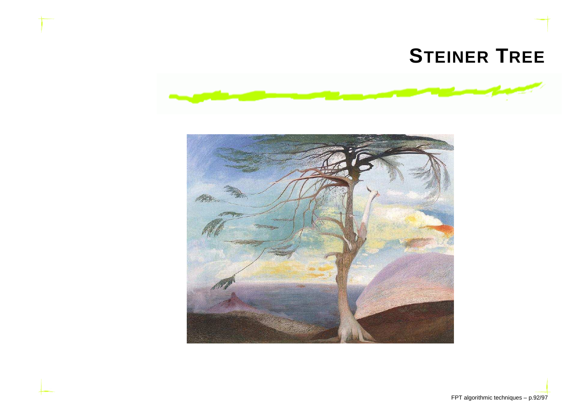#### **STEINERTREE**



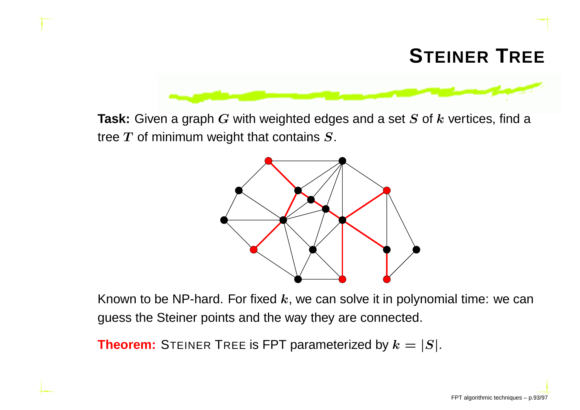

**Task:** Given <sup>a</sup> graph <sup>G</sup> with weighted edges and <sup>a</sup> set <sup>S</sup> of <sup>k</sup> vertices, find <sup>a</sup> tree  $T$  of minimum weight that contains  $\boldsymbol{S}.$ 



Known to be NP-hard. For fixed  $\boldsymbol{k},$  we can solve it in polynomial time: we can guess the Steiner points and the way they are connected.

**Theorem:** STEINER TREE is FPT parameterized by  $k = |S|$ .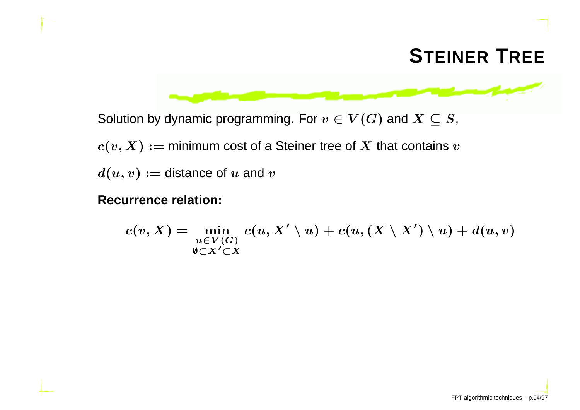

Solution by dynamic programming. For  $v\in V(G)$  and  $X\subseteq S,$ 

 $c(v,X) :=$  minimum cost of a Steiner tree of  $X$  that contains  $v$ 

 $d(u,v) := \textsf{distance of}\; u \;\textsf{and}\; v$ 

#### **Recurrence relation:**

$$
c(v,X)=\min_{\substack{u\in V(G)\\ \emptyset\subset X'\subset X}}c(u,X'\setminus u)+c(u,(X\setminus X')\setminus u)+d(u,v)
$$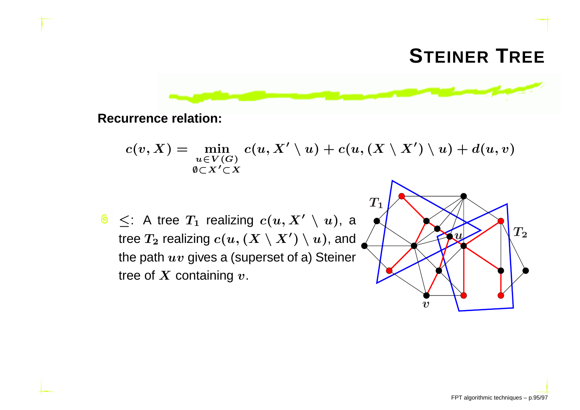## **STEINER <sup>T</sup>REE**



**Recurrence relation:**

$$
c(v,X)=\min_{\scriptsize \begin{matrix} u\in V(G)\\ \emptyset\subset X'\subset X\end{matrix}}c(u,X'\setminus u)+c(u,(X\setminus X')\setminus u)+d(u,v)
$$

 $\leq$ : A tree  $T_1$  realizing  $c(u,X'\setminus u)$ , a tree  $T_2$  realizing  $c(u, (X \setminus X') \setminus u)$ , and the path  $uv$  gives a (superset of a) Steiner tree of  $\boldsymbol{X}$  containing  $\boldsymbol{v}.$ 

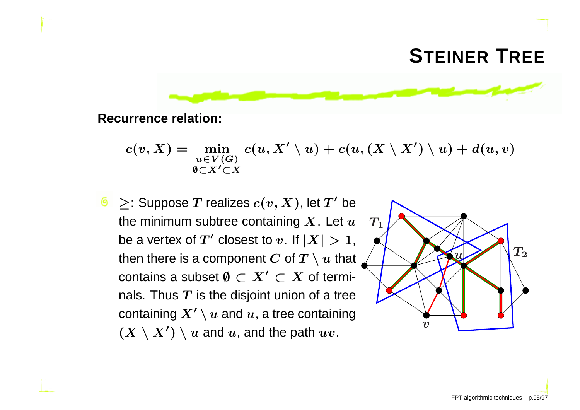## **STEINER <sup>T</sup>REE**



**Recurrence relation:**

$$
c(v,X)=\min_{\substack{u\in V(G)\\ \emptyset\subset X'\subset X}}c(u,X'\setminus u)+c(u,(X\setminus X')\setminus u)+d(u,v)
$$

 $\geq$ : Suppose  $T$  realizes  $c(v,X)$ , let  $T'$  be the minimum subtree containing  $\boldsymbol{X}.$  Let  $\boldsymbol{u}$ be a vertex of  $T'$  closest to  $v.$  If  $|X|>1,$ then there is a component  $C$  of  $T \setminus u$  that contains a subset  $\emptyset \subset X' \subset X$  of termi-<br>relatives  $\pi$  is the disjoint union of a trac nals. Thus  $\overline{T}$  is the disjoint union of a tree containing  $X'\setminus u$  and  $u$ , a tree containing  $(X \setminus X') \setminus u$  and  $u$ , and the path  $uv$ .  $v$ 

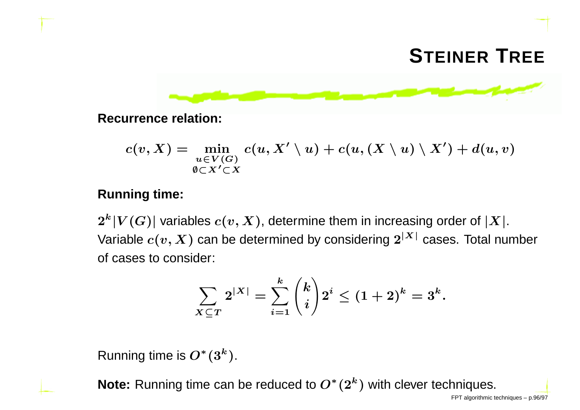# **STEINER <sup>T</sup>REE**



**Recurrence relation:**

$$
c(v,X)=\min_{\scriptsize \begin{matrix} u\in V(G)\\ \emptyset\subset X'\subset X\end{matrix}}c(u,X'\setminus u)+c(u,(X\setminus u)\setminus X')+d(u,v)
$$

#### **Running time:**

 $2^k|V(G)|$  variables  $c(v,X)$ , determine them in increasing order of  $|X|.$ Variable  $c(v,X)$  can be determined by considering  $2^{\vert X \vert}$  cases. Total number of cases to consider:

$$
\sum_{X \subseteq T} 2^{|X|} = \sum_{i=1}^k \binom{k}{i} 2^i \le (1+2)^k = 3^k.
$$

Running time is  $O^*(3^k).$ 

**Note:** Running time can be reduced to  $O^*(2^k)$  with clever techniques.